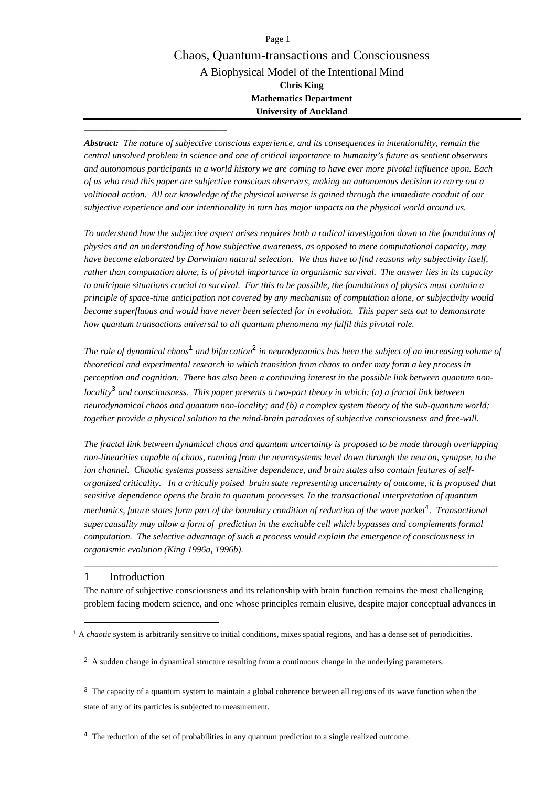# Page 1 Chaos, Quantum-transactions and Consciousness A Biophysical Model of the Intentional Mind **Chris King Mathematics Department University of Auckland**

*Abstract: The nature of subjective conscious experience, and its consequences in intentionality, remain the central unsolved problem in science and one of critical importance to humanity's future as sentient observers and autonomous participants in a world history we are coming to have ever more pivotal influence upon. Each of us who read this paper are subjective conscious observers, making an autonomous decision to carry out a volitional action. All our knowledge of the physical universe is gained through the immediate conduit of our subjective experience and our intentionality in turn has major impacts on the physical world around us.*

*To understand how the subjective aspect arises requires both a radical investigation down to the foundations of physics and an understanding of how subjective awareness, as opposed to mere computational capacity, may have become elaborated by Darwinian natural selection. We thus have to find reasons why subjectivity itself, rather than computation alone, is of pivotal importance in organismic survival. The answer lies in its capacity to anticipate situations crucial to survival. For this to be possible, the foundations of physics must contain a principle of space-time anticipation not covered by any mechanism of computation alone, or subjectivity would become superfluous and would have never been selected for in evolution. This paper sets out to demonstrate how quantum transactions universal to all quantum phenomena my fulfil this pivotal role.*

*The role of dynamical chaos*1 *and bifurcation*2 *in neurodynamics has been the subject of an increasing volume of theoretical and experimental research in which transition from chaos to order may form a key process in perception and cognition. There has also been a continuing interest in the possible link between quantum nonlocality*3 *and consciousness. This paper presents a two-part theory in which: (a) a fractal link between neurodynamical chaos and quantum non-locality; and (b) a complex system theory of the sub-quantum world; together provide a physical solution to the mind-brain paradoxes of subjective consciousness and free-will.*

*The fractal link between dynamical chaos and quantum uncertainty is proposed to be made through overlapping non-linearities capable of chaos, running from the neurosystems level down through the neuron, synapse, to the ion channel. Chaotic systems possess sensitive dependence, and brain states also contain features of selforganized criticality. In a critically poised brain state representing uncertainty of outcome, it is proposed that sensitive dependence opens the brain to quantum processes. In the transactional interpretation of quantum mechanics, future states form part of the boundary condition of reduction of the wave packet*4*. Transactional supercausality may allow a form of prediction in the excitable cell which bypasses and complements formal computation. The selective advantage of such a process would explain the emergence of consciousness in organismic evolution (King 1996a, 1996b).*

## 1 Introduction

*\_\_\_\_\_\_\_\_\_\_\_\_\_\_\_\_\_\_\_\_\_\_\_\_\_\_\_\_\_\_\_*

The nature of subjective consciousness and its relationship with brain function remains the most challenging problem facing modern science, and one whose principles remain elusive, despite major conceptual advances in

*\_\_\_\_\_\_\_\_\_\_\_\_\_\_\_\_\_\_\_\_\_\_\_\_\_\_\_\_\_\_\_\_\_\_\_\_\_\_\_\_\_\_\_\_\_\_\_\_\_\_\_\_\_\_\_\_\_\_\_\_\_\_\_\_\_\_\_\_\_\_\_\_\_\_\_\_\_\_\_\_\_\_\_\_\_\_\_\_\_\_*

<sup>2</sup> A sudden change in dynamical structure resulting from a continuous change in the underlying parameters.

<sup>3</sup> The capacity of a quantum system to maintain a global coherence between all regions of its wave function when the state of any of its particles is subjected to measurement.

<sup>4</sup> The reduction of the set of probabilities in any quantum prediction to a single realized outcome.

 <sup>1</sup><sup>A</sup>*chaotic* system is arbitrarily sensitive to initial conditions, mixes spatial regions, and has a dense set of periodicities.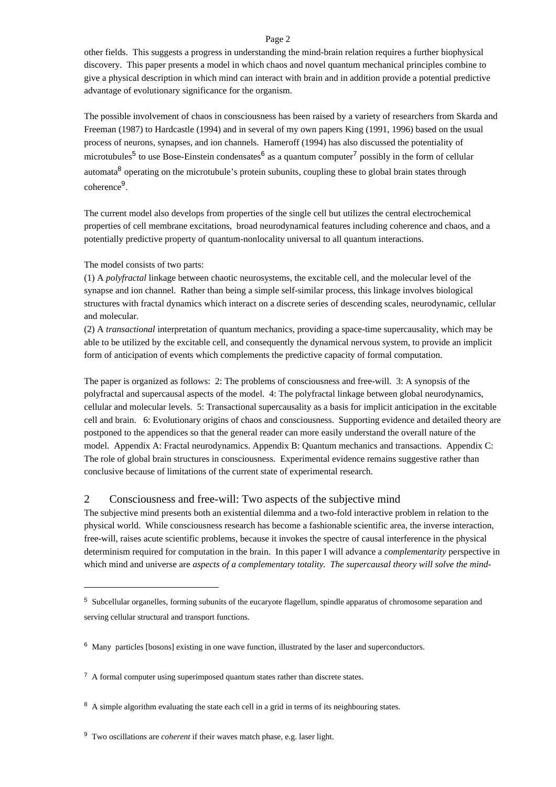other fields. This suggests a progress in understanding the mind-brain relation requires a further biophysical discovery. This paper presents a model in which chaos and novel quantum mechanical principles combine to give a physical description in which mind can interact with brain and in addition provide a potential predictive advantage of evolutionary significance for the organism.

The possible involvement of chaos in consciousness has been raised by a variety of researchers from Skarda and Freeman (1987) to Hardcastle (1994) and in several of my own papers King (1991, 1996) based on the usual process of neurons, synapses, and ion channels. Hameroff (1994) has also discussed the potentiality of microtubules<sup>5</sup> to use Bose-Einstein condensates<sup>6</sup> as a quantum computer<sup>7</sup> possibly in the form of cellular automata<sup>8</sup> operating on the microtubule's protein subunits, coupling these to global brain states through coherence9.

The current model also develops from properties of the single cell but utilizes the central electrochemical properties of cell membrane excitations, broad neurodynamical features including coherence and chaos, and a potentially predictive property of quantum-nonlocality universal to all quantum interactions.

The model consists of two parts:

j

(1) A *polyfractal* linkage between chaotic neurosystems, the excitable cell, and the molecular level of the synapse and ion channel. Rather than being a simple self-similar process, this linkage involves biological structures with fractal dynamics which interact on a discrete series of descending scales, neurodynamic, cellular and molecular.

(2) A *transactional* interpretation of quantum mechanics, providing a space-time supercausality, which may be able to be utilized by the excitable cell, and consequently the dynamical nervous system, to provide an implicit form of anticipation of events which complements the predictive capacity of formal computation.

The paper is organized as follows: 2: The problems of consciousness and free-will. 3: A synopsis of the polyfractal and supercausal aspects of the model. 4: The polyfractal linkage between global neurodynamics, cellular and molecular levels. 5: Transactional supercausality as a basis for implicit anticipation in the excitable cell and brain. 6: Evolutionary origins of chaos and consciousness. Supporting evidence and detailed theory are postponed to the appendices so that the general reader can more easily understand the overall nature of the model. Appendix A: Fractal neurodynamics. Appendix B: Quantum mechanics and transactions. Appendix C: The role of global brain structures in consciousness. Experimental evidence remains suggestive rather than conclusive because of limitations of the current state of experimental research.

## 2 Consciousness and free-will: Two aspects of the subjective mind

The subjective mind presents both an existential dilemma and a two-fold interactive problem in relation to the physical world. While consciousness research has become a fashionable scientific area, the inverse interaction, free-will, raises acute scientific problems, because it invokes the spectre of causal interference in the physical determinism required for computation in the brain. In this paper I will advance a *complementarity* perspective in which mind and universe are *aspects of a complementary totality. The supercausal theory will solve the mind-*

<sup>7</sup> A formal computer using superimposed quantum states rather than discrete states.

<sup>8</sup> A simple algorithm evaluating the state each cell in a grid in terms of its neighbouring states.

<sup>9</sup> Two oscillations are *coherent* if their waves match phase, e.g. laser light.

<sup>5</sup> Subcellular organelles, forming subunits of the eucaryote flagellum, spindle apparatus of chromosome separation and serving cellular structural and transport functions.

<sup>6</sup> Many particles [bosons] existing in one wave function, illustrated by the laser and superconductors.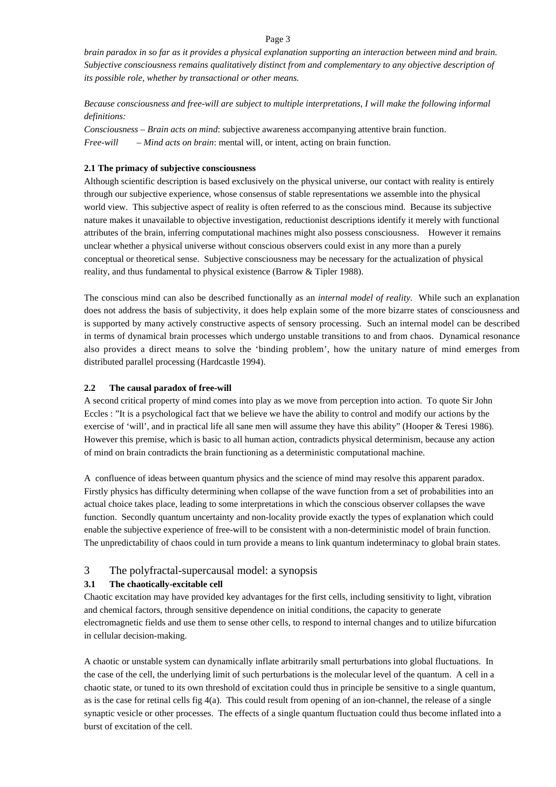*brain paradox in so far as it provides a physical explanation supporting an interaction between mind and brain. Subjective consciousness remains qualitatively distinct from and complementary to any objective description of its possible role, whether by transactional or other means.*

*Because consciousness and free-will are subject to multiple interpretations, I will make the following informal definitions:*

*Consciousness – Brain acts on mind*: subjective awareness accompanying attentive brain function. *Free-will – Mind acts on brain*: mental will, or intent, acting on brain function.

## **2.1 The primacy of subjective consciousness**

Although scientific description is based exclusively on the physical universe, our contact with reality is entirely through our subjective experience, whose consensus of stable representations we assemble into the physical world view. This subjective aspect of reality is often referred to as the conscious mind. Because its subjective nature makes it unavailable to objective investigation, reductionist descriptions identify it merely with functional attributes of the brain, inferring computational machines might also possess consciousness. However it remains unclear whether a physical universe without conscious observers could exist in any more than a purely conceptual or theoretical sense. Subjective consciousness may be necessary for the actualization of physical reality, and thus fundamental to physical existence (Barrow & Tipler 1988).

The conscious mind can also be described functionally as an *internal model of reality*. While such an explanation does not address the basis of subjectivity, it does help explain some of the more bizarre states of consciousness and is supported by many actively constructive aspects of sensory processing. Such an internal model can be described in terms of dynamical brain processes which undergo unstable transitions to and from chaos. Dynamical resonance also provides a direct means to solve the 'binding problem', how the unitary nature of mind emerges from distributed parallel processing (Hardcastle 1994).

## **2.2 The causal paradox of free-will**

A second critical property of mind comes into play as we move from perception into action. To quote Sir John Eccles : "It is a psychological fact that we believe we have the ability to control and modify our actions by the exercise of 'will', and in practical life all sane men will assume they have this ability" (Hooper & Teresi 1986). However this premise, which is basic to all human action, contradicts physical determinism, because any action of mind on brain contradicts the brain functioning as a deterministic computational machine.

A confluence of ideas between quantum physics and the science of mind may resolve this apparent paradox. Firstly physics has difficulty determining when collapse of the wave function from a set of probabilities into an actual choice takes place, leading to some interpretations in which the conscious observer collapses the wave function. Secondly quantum uncertainty and non-locality provide exactly the types of explanation which could enable the subjective experience of free-will to be consistent with a non-deterministic model of brain function. The unpredictability of chaos could in turn provide a means to link quantum indeterminacy to global brain states.

## 3 The polyfractal-supercausal model: a synopsis

## **3.1 The chaotically-excitable cell**

Chaotic excitation may have provided key advantages for the first cells, including sensitivity to light, vibration and chemical factors, through sensitive dependence on initial conditions, the capacity to generate electromagnetic fields and use them to sense other cells, to respond to internal changes and to utilize bifurcation in cellular decision-making.

A chaotic or unstable system can dynamically inflate arbitrarily small perturbations into global fluctuations. In the case of the cell, the underlying limit of such perturbations is the molecular level of the quantum. A cell in a chaotic state, or tuned to its own threshold of excitation could thus in principle be sensitive to a single quantum, as is the case for retinal cells fig 4(a). This could result from opening of an ion-channel, the release of a single synaptic vesicle or other processes. The effects of a single quantum fluctuation could thus become inflated into a burst of excitation of the cell.

#### Page 3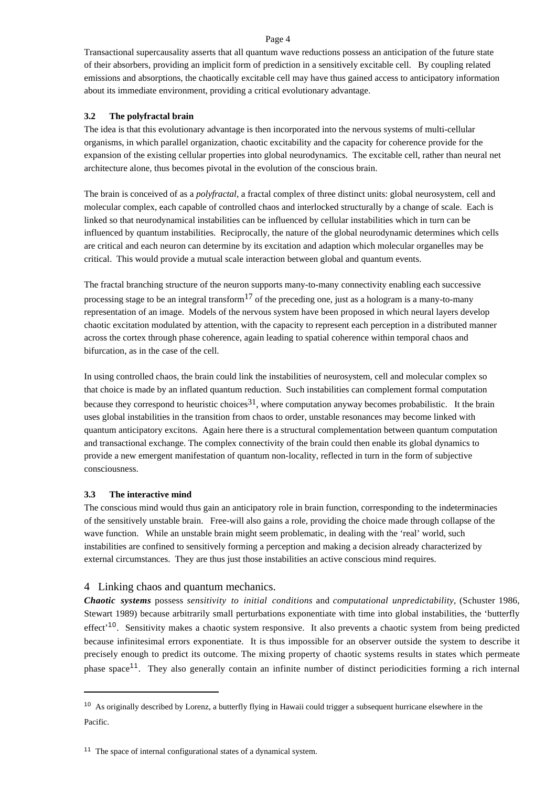Transactional supercausality asserts that all quantum wave reductions possess an anticipation of the future state of their absorbers, providing an implicit form of prediction in a sensitively excitable cell. By coupling related emissions and absorptions, the chaotically excitable cell may have thus gained access to anticipatory information about its immediate environment, providing a critical evolutionary advantage.

## **3.2 The polyfractal brain**

The idea is that this evolutionary advantage is then incorporated into the nervous systems of multi-cellular organisms, in which parallel organization, chaotic excitability and the capacity for coherence provide for the expansion of the existing cellular properties into global neurodynamics. The excitable cell, rather than neural net architecture alone, thus becomes pivotal in the evolution of the conscious brain.

The brain is conceived of as a *polyfractal*, a fractal complex of three distinct units: global neurosystem, cell and molecular complex, each capable of controlled chaos and interlocked structurally by a change of scale. Each is linked so that neurodynamical instabilities can be influenced by cellular instabilities which in turn can be influenced by quantum instabilities. Reciprocally, the nature of the global neurodynamic determines which cells are critical and each neuron can determine by its excitation and adaption which molecular organelles may be critical. This would provide a mutual scale interaction between global and quantum events.

The fractal branching structure of the neuron supports many-to-many connectivity enabling each successive processing stage to be an integral transform<sup>17</sup> of the preceding one, just as a hologram is a many-to-many representation of an image. Models of the nervous system have been proposed in which neural layers develop chaotic excitation modulated by attention, with the capacity to represent each perception in a distributed manner across the cortex through phase coherence, again leading to spatial coherence within temporal chaos and bifurcation, as in the case of the cell.

In using controlled chaos, the brain could link the instabilities of neurosystem, cell and molecular complex so that choice is made by an inflated quantum reduction. Such instabilities can complement formal computation because they correspond to heuristic choices<sup>31</sup>, where computation anyway becomes probabilistic. It the brain uses global instabilities in the transition from chaos to order, unstable resonances may become linked with quantum anticipatory excitons. Again here there is a structural complementation between quantum computation and transactional exchange. The complex connectivity of the brain could then enable its global dynamics to provide a new emergent manifestation of quantum non-locality, reflected in turn in the form of subjective consciousness.

## **3.3 The interactive mind**

j

The conscious mind would thus gain an anticipatory role in brain function, corresponding to the indeterminacies of the sensitively unstable brain. Free-will also gains a role, providing the choice made through collapse of the wave function. While an unstable brain might seem problematic, in dealing with the 'real' world, such instabilities are confined to sensitively forming a perception and making a decision already characterized by external circumstances. They are thus just those instabilities an active conscious mind requires.

## 4 Linking chaos and quantum mechanics.

*Chaotic systems* possess *sensitivity to initial conditions* and *computational unpredictability*, (Schuster 1986, Stewart 1989) because arbitrarily small perturbations exponentiate with time into global instabilities, the 'butterfly effect<sup>10</sup>. Sensitivity makes a chaotic system responsive. It also prevents a chaotic system from being predicted because infinitesimal errors exponentiate. It is thus impossible for an observer outside the system to describe it precisely enough to predict its outcome. The mixing property of chaotic systems results in states which permeate phase space<sup>11</sup>. They also generally contain an infinite number of distinct periodicities forming a rich internal

<sup>10</sup> As originally described by Lorenz, a butterfly flying in Hawaii could trigger a subsequent hurricane elsewhere in the Pacific.

<sup>11</sup> The space of internal configurational states of a dynamical system.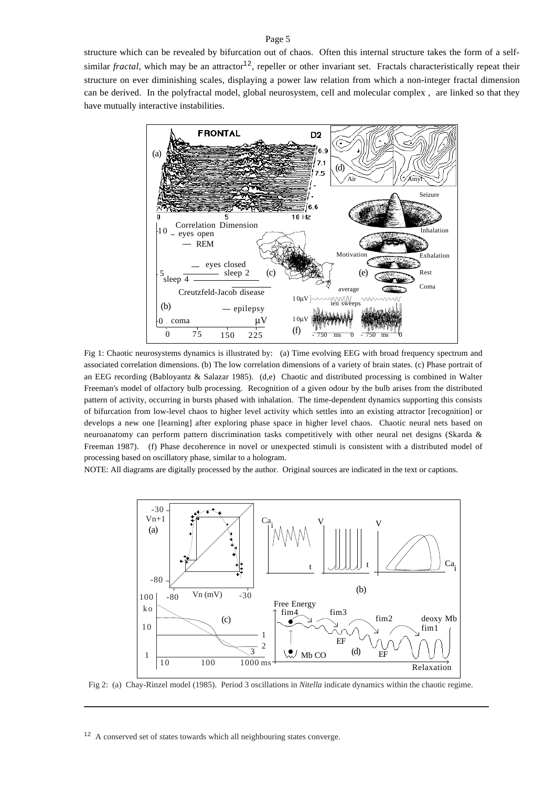structure which can be revealed by bifurcation out of chaos. Often this internal structure takes the form of a selfsimilar *fractal*, which may be an attractor<sup>12</sup>, repeller or other invariant set. Fractals characteristically repeat their structure on ever diminishing scales, displaying a power law relation from which a non-integer fractal dimension can be derived. In the polyfractal model, global neurosystem, cell and molecular complex , are linked so that they have mutually interactive instabilities.



Fig 1: Chaotic neurosystems dynamics is illustrated by: (a) Time evolving EEG with broad frequency spectrum and associated correlation dimensions. (b) The low correlation dimensions of a variety of brain states. (c) Phase portrait of an EEG recording (Babloyantz & Salazar 1985). (d,e) Chaotic and distributed processing is combined in Walter Freeman's model of olfactory bulb processing. Recognition of a given odour by the bulb arises from the distributed pattern of activity, occurring in bursts phased with inhalation. The time-dependent dynamics supporting this consists of bifurcation from low-level chaos to higher level activity which settles into an existing attractor [recognition] or develops a new one [learning] after exploring phase space in higher level chaos. Chaotic neural nets based on neuroanatomy can perform pattern discrimination tasks competitively with other neural net designs (Skarda & Freeman 1987). (f) Phase decoherence in novel or unexpected stimuli is consistent with a distributed model of processing based on oscillatory phase, similar to a hologram.

NOTE: All diagrams are digitally processed by the author. Original sources are indicated in the text or captions.



Fig 2: (a) Chay-Rinzel model (1985). Period 3 oscillations in *Nitella* indicate dynamics within the chaotic regime.

 $\overline{a}$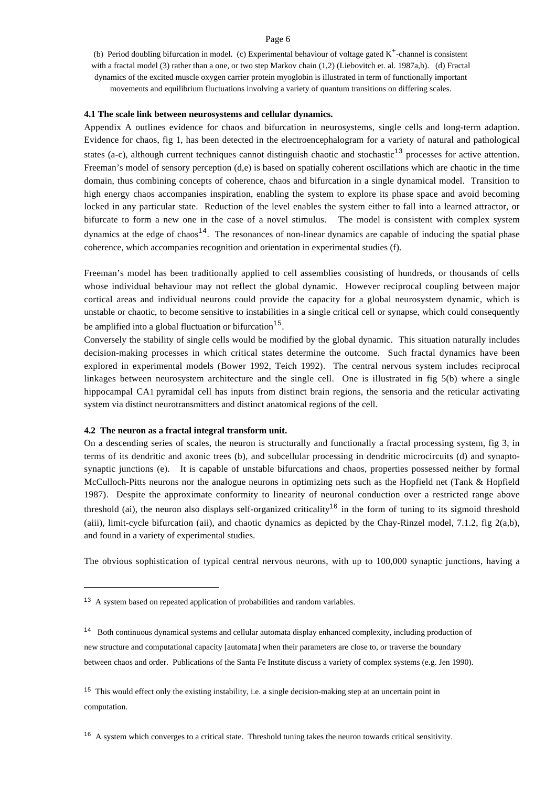(b) Period doubling bifurcation in model. (c) Experimental behaviour of voltage gated  $K^+$ -channel is consistent with a fractal model (3) rather than a one, or two step Markov chain (1,2) (Liebovitch et. al. 1987a,b). (d) Fractal dynamics of the excited muscle oxygen carrier protein myoglobin is illustrated in term of functionally important movements and equilibrium fluctuations involving a variety of quantum transitions on differing scales.

#### **4.1 The scale link between neurosystems and cellular dynamics.**

Appendix A outlines evidence for chaos and bifurcation in neurosystems, single cells and long-term adaption. Evidence for chaos, fig 1, has been detected in the electroencephalogram for a variety of natural and pathological states (a-c), although current techniques cannot distinguish chaotic and stochastic<sup>13</sup> processes for active attention. Freeman's model of sensory perception (d,e) is based on spatially coherent oscillations which are chaotic in the time domain, thus combining concepts of coherence, chaos and bifurcation in a single dynamical model. Transition to high energy chaos accompanies inspiration, enabling the system to explore its phase space and avoid becoming locked in any particular state. Reduction of the level enables the system either to fall into a learned attractor, or bifurcate to form a new one in the case of a novel stimulus. The model is consistent with complex system dynamics at the edge of chaos<sup>14</sup>. The resonances of non-linear dynamics are capable of inducing the spatial phase coherence, which accompanies recognition and orientation in experimental studies (f).

Freeman's model has been traditionally applied to cell assemblies consisting of hundreds, or thousands of cells whose individual behaviour may not reflect the global dynamic. However reciprocal coupling between major cortical areas and individual neurons could provide the capacity for a global neurosystem dynamic, which is unstable or chaotic, to become sensitive to instabilities in a single critical cell or synapse, which could consequently be amplified into a global fluctuation or bifurcation<sup>15</sup>.

Conversely the stability of single cells would be modified by the global dynamic. This situation naturally includes decision-making processes in which critical states determine the outcome. Such fractal dynamics have been explored in experimental models (Bower 1992, Teich 1992). The central nervous system includes reciprocal linkages between neurosystem architecture and the single cell. One is illustrated in fig 5(b) where a single hippocampal CA1 pyramidal cell has inputs from distinct brain regions, the sensoria and the reticular activating system via distinct neurotransmitters and distinct anatomical regions of the cell.

#### **4.2 The neuron as a fractal integral transform unit.**

j

On a descending series of scales, the neuron is structurally and functionally a fractal processing system, fig 3, in terms of its dendritic and axonic trees (b), and subcellular processing in dendritic microcircuits (d) and synaptosynaptic junctions (e). It is capable of unstable bifurcations and chaos, properties possessed neither by formal McCulloch-Pitts neurons nor the analogue neurons in optimizing nets such as the Hopfield net (Tank & Hopfield 1987). Despite the approximate conformity to linearity of neuronal conduction over a restricted range above threshold (ai), the neuron also displays self-organized criticality<sup>16</sup> in the form of tuning to its sigmoid threshold (aiii), limit-cycle bifurcation (aii), and chaotic dynamics as depicted by the Chay-Rinzel model, 7.1.2, fig 2(a,b), and found in a variety of experimental studies.

The obvious sophistication of typical central nervous neurons, with up to 100,000 synaptic junctions, having a

<sup>15</sup> This would effect only the existing instability, i.e. a single decision-making step at an uncertain point in computation.

<sup>16</sup> A system which converges to a critical state. Threshold tuning takes the neuron towards critical sensitivity.

<sup>&</sup>lt;sup>13</sup> A system based on repeated application of probabilities and random variables.

<sup>14</sup> Both continuous dynamical systems and cellular automata display enhanced complexity, including production of new structure and computational capacity [automata] when their parameters are close to, or traverse the boundary between chaos and order. Publications of the Santa Fe Institute discuss a variety of complex systems (e.g. Jen 1990).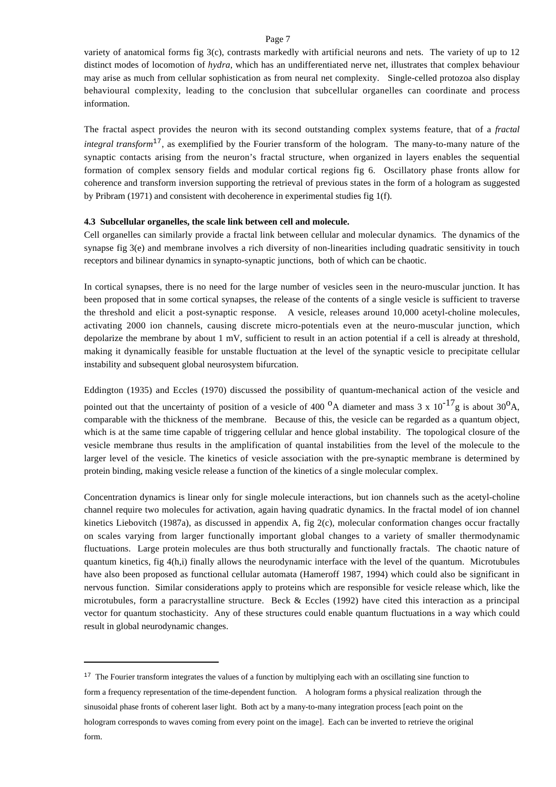variety of anatomical forms fig 3(c), contrasts markedly with artificial neurons and nets. The variety of up to 12 distinct modes of locomotion of *hydra*, which has an undifferentiated nerve net, illustrates that complex behaviour may arise as much from cellular sophistication as from neural net complexity. Single-celled protozoa also display behavioural complexity, leading to the conclusion that subcellular organelles can coordinate and process information.

The fractal aspect provides the neuron with its second outstanding complex systems feature, that of a *fractal integral transform*<sup>17</sup>, as exemplified by the Fourier transform of the hologram. The many-to-many nature of the synaptic contacts arising from the neuron's fractal structure, when organized in layers enables the sequential formation of complex sensory fields and modular cortical regions fig 6. Oscillatory phase fronts allow for coherence and transform inversion supporting the retrieval of previous states in the form of a hologram as suggested by Pribram (1971) and consistent with decoherence in experimental studies fig 1(f).

#### **4.3 Subcellular organelles, the scale link between cell and molecule.**

Cell organelles can similarly provide a fractal link between cellular and molecular dynamics. The dynamics of the synapse fig 3(e) and membrane involves a rich diversity of non-linearities including quadratic sensitivity in touch receptors and bilinear dynamics in synapto-synaptic junctions, both of which can be chaotic.

In cortical synapses, there is no need for the large number of vesicles seen in the neuro-muscular junction. It has been proposed that in some cortical synapses, the release of the contents of a single vesicle is sufficient to traverse the threshold and elicit a post-synaptic response. A vesicle, releases around 10,000 acetyl-choline molecules, activating 2000 ion channels, causing discrete micro-potentials even at the neuro-muscular junction, which depolarize the membrane by about 1 mV, sufficient to result in an action potential if a cell is already at threshold, making it dynamically feasible for unstable fluctuation at the level of the synaptic vesicle to precipitate cellular instability and subsequent global neurosystem bifurcation.

Eddington (1935) and Eccles (1970) discussed the possibility of quantum-mechanical action of the vesicle and pointed out that the uncertainty of position of a vesicle of 400  $^{\circ}$ A diameter and mass 3 x 10<sup>-17</sup>g is about 30<sup>o</sup>A, comparable with the thickness of the membrane. Because of this, the vesicle can be regarded as a quantum object, which is at the same time capable of triggering cellular and hence global instability. The topological closure of the vesicle membrane thus results in the amplification of quantal instabilities from the level of the molecule to the larger level of the vesicle. The kinetics of vesicle association with the pre-synaptic membrane is determined by protein binding, making vesicle release a function of the kinetics of a single molecular complex.

Concentration dynamics is linear only for single molecule interactions, but ion channels such as the acetyl-choline channel require two molecules for activation, again having quadratic dynamics. In the fractal model of ion channel kinetics Liebovitch (1987a), as discussed in appendix A, fig 2(c), molecular conformation changes occur fractally on scales varying from larger functionally important global changes to a variety of smaller thermodynamic fluctuations. Large protein molecules are thus both structurally and functionally fractals. The chaotic nature of quantum kinetics, fig 4(h,i) finally allows the neurodynamic interface with the level of the quantum. Microtubules have also been proposed as functional cellular automata (Hameroff 1987, 1994) which could also be significant in nervous function. Similar considerations apply to proteins which are responsible for vesicle release which, like the microtubules, form a paracrystalline structure. Beck & Eccles (1992) have cited this interaction as a principal vector for quantum stochasticity. Any of these structures could enable quantum fluctuations in a way which could result in global neurodynamic changes.

l

<sup>&</sup>lt;sup>17</sup> The Fourier transform integrates the values of a function by multiplying each with an oscillating sine function to form a frequency representation of the time-dependent function. A hologram forms a physical realization through the sinusoidal phase fronts of coherent laser light. Both act by a many-to-many integration process [each point on the hologram corresponds to waves coming from every point on the image]. Each can be inverted to retrieve the original form.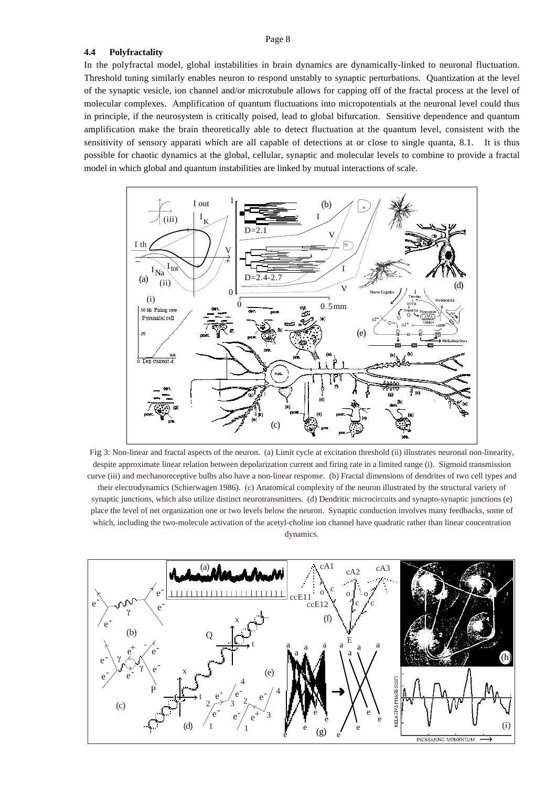#### **4.4 Polyfractality**

In the polyfractal model, global instabilities in brain dynamics are dynamically-linked to neuronal fluctuation. Threshold tuning similarly enables neuron to respond unstably to synaptic perturbations. Quantization at the level of the synaptic vesicle, ion channel and/or microtubule allows for capping off of the fractal process at the level of molecular complexes. Amplification of quantum fluctuations into micropotentials at the neuronal level could thus in principle, if the neurosystem is critically poised, lead to global bifurcation. Sensitive dependence and quantum amplification make the brain theoretically able to detect fluctuation at the quantum level, consistent with the sensitivity of sensory apparati which are all capable of detections at or close to single quanta, 8.1. It is thus possible for chaotic dynamics at the global, cellular, synaptic and molecular levels to combine to provide a fractal model in which global and quantum instabilities are linked by mutual interactions of scale.



Fig 3: Non-linear and fractal aspects of the neuron. (a) Limit cycle at excitation threshold (ii) illustrates neuronal non-linearity, despite approximate linear relation between depolarization current and firing rate in a limited range (i). Sigmoid transmission curve (iii) and mechanoreceptive bulbs also have a non-linear response. (b) Fractal dimensions of dendrites of two cell types and their electrodynamics (Schierwagen 1986). (c) Anatomical complexity of the neuron illustrated by the structural variety of

synaptic junctions, which also utilize distinct neurotransmitters. (d) Dendritic microcircuits and synapto-synaptic junctions (e) place the level of net organization one or two levels below the neuron. Synaptic conduction involves many feedbacks, some of which, including the two-molecule activation of the acetyl-choline ion channel have quadratic rather than linear concentration dynamics.

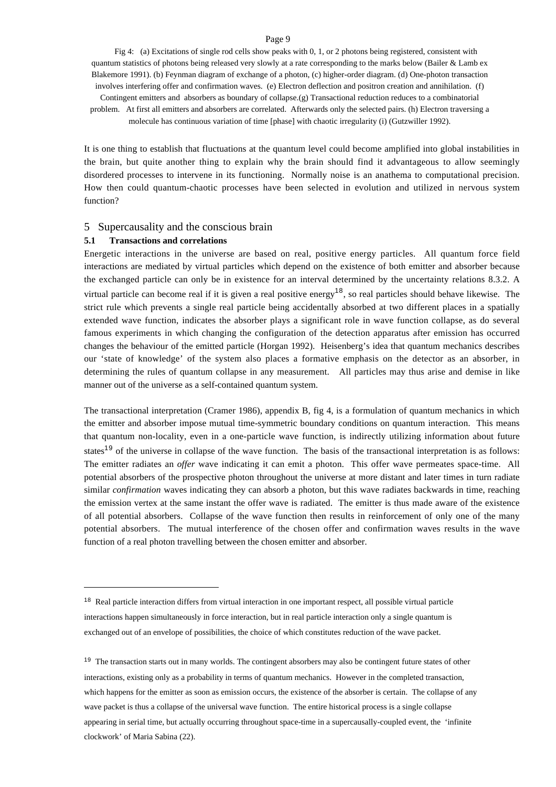Fig 4: (a) Excitations of single rod cells show peaks with 0, 1, or 2 photons being registered, consistent with quantum statistics of photons being released very slowly at a rate corresponding to the marks below (Bailer & Lamb ex Blakemore 1991). (b) Feynman diagram of exchange of a photon, (c) higher-order diagram. (d) One-photon transaction involves interfering offer and confirmation waves. (e) Electron deflection and positron creation and annihilation. (f) Contingent emitters and absorbers as boundary of collapse.(g) Transactional reduction reduces to a combinatorial problem. At first all emitters and absorbers are correlated. Afterwards only the selected pairs. (h) Electron traversing a molecule has continuous variation of time [phase] with chaotic irregularity (i) (Gutzwiller 1992).

It is one thing to establish that fluctuations at the quantum level could become amplified into global instabilities in the brain, but quite another thing to explain why the brain should find it advantageous to allow seemingly disordered processes to intervene in its functioning. Normally noise is an anathema to computational precision. How then could quantum-chaotic processes have been selected in evolution and utilized in nervous system function?

#### 5 Supercausality and the conscious brain

## **5.1 Transactions and correlations**

j

Energetic interactions in the universe are based on real, positive energy particles. All quantum force field interactions are mediated by virtual particles which depend on the existence of both emitter and absorber because the exchanged particle can only be in existence for an interval determined by the uncertainty relations 8.3.2. A virtual particle can become real if it is given a real positive energy<sup>18</sup>, so real particles should behave likewise. The strict rule which prevents a single real particle being accidentally absorbed at two different places in a spatially extended wave function, indicates the absorber plays a significant role in wave function collapse, as do several famous experiments in which changing the configuration of the detection apparatus after emission has occurred changes the behaviour of the emitted particle (Horgan 1992). Heisenberg's idea that quantum mechanics describes our 'state of knowledge' of the system also places a formative emphasis on the detector as an absorber, in determining the rules of quantum collapse in any measurement. All particles may thus arise and demise in like manner out of the universe as a self-contained quantum system.

The transactional interpretation (Cramer 1986), appendix B, fig 4, is a formulation of quantum mechanics in which the emitter and absorber impose mutual time-symmetric boundary conditions on quantum interaction. This means that quantum non-locality, even in a one-particle wave function, is indirectly utilizing information about future states<sup>19</sup> of the universe in collapse of the wave function. The basis of the transactional interpretation is as follows: The emitter radiates an *offer* wave indicating it can emit a photon. This offer wave permeates space-time. All potential absorbers of the prospective photon throughout the universe at more distant and later times in turn radiate similar *confirmation* waves indicating they can absorb a photon, but this wave radiates backwards in time, reaching the emission vertex at the same instant the offer wave is radiated. The emitter is thus made aware of the existence of all potential absorbers. Collapse of the wave function then results in reinforcement of only one of the many potential absorbers. The mutual interference of the chosen offer and confirmation waves results in the wave function of a real photon travelling between the chosen emitter and absorber.

<sup>&</sup>lt;sup>18</sup> Real particle interaction differs from virtual interaction in one important respect, all possible virtual particle interactions happen simultaneously in force interaction, but in real particle interaction only a single quantum is exchanged out of an envelope of possibilities, the choice of which constitutes reduction of the wave packet.

<sup>&</sup>lt;sup>19</sup> The transaction starts out in many worlds. The contingent absorbers may also be contingent future states of other interactions, existing only as a probability in terms of quantum mechanics. However in the completed transaction, which happens for the emitter as soon as emission occurs, the existence of the absorber is certain. The collapse of any wave packet is thus a collapse of the universal wave function. The entire historical process is a single collapse appearing in serial time, but actually occurring throughout space-time in a supercausally-coupled event, the 'infinite clockwork' of Maria Sabina (22).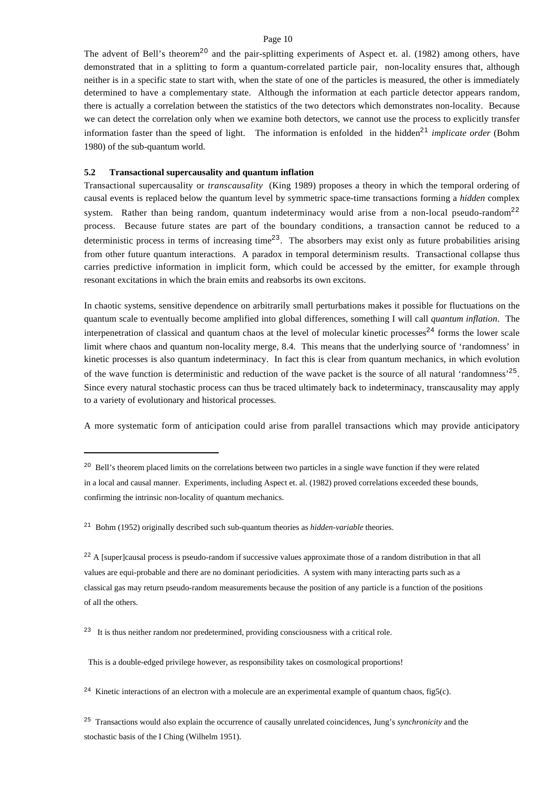The advent of Bell's theorem<sup>20</sup> and the pair-splitting experiments of Aspect et. al. (1982) among others, have demonstrated that in a splitting to form a quantum-correlated particle pair, non-locality ensures that, although neither is in a specific state to start with, when the state of one of the particles is measured, the other is immediately determined to have a complementary state. Although the information at each particle detector appears random, there is actually a correlation between the statistics of the two detectors which demonstrates non-locality. Because we can detect the correlation only when we examine both detectors, we cannot use the process to explicitly transfer information faster than the speed of light. The information is enfolded in the hidden<sup>21</sup> *implicate order* (Bohm 1980) of the sub-quantum world.

### **5.2 Transactional supercausality and quantum inflation**

Transactional supercausality or *transcausality* (King 1989) proposes a theory in which the temporal ordering of causal events is replaced below the quantum level by symmetric space-time transactions forming a *hidden* complex system. Rather than being random, quantum indeterminacy would arise from a non-local pseudo-random<sup>22</sup> process. Because future states are part of the boundary conditions, a transaction cannot be reduced to a deterministic process in terms of increasing time<sup>23</sup>. The absorbers may exist only as future probabilities arising from other future quantum interactions. A paradox in temporal determinism results. Transactional collapse thus carries predictive information in implicit form, which could be accessed by the emitter, for example through resonant excitations in which the brain emits and reabsorbs its own excitons.

In chaotic systems, sensitive dependence on arbitrarily small perturbations makes it possible for fluctuations on the quantum scale to eventually become amplified into global differences, something I will call *quantum inflation*. The interpenetration of classical and quantum chaos at the level of molecular kinetic processes<sup>24</sup> forms the lower scale limit where chaos and quantum non-locality merge, 8.4. This means that the underlying source of 'randomness' in kinetic processes is also quantum indeterminacy. In fact this is clear from quantum mechanics, in which evolution of the wave function is deterministic and reduction of the wave packet is the source of all natural 'randomness'<sup>25</sup>. Since every natural stochastic process can thus be traced ultimately back to indeterminacy, transcausality may apply to a variety of evolutionary and historical processes.

A more systematic form of anticipation could arise from parallel transactions which may provide anticipatory

<sup>21</sup> Bohm (1952) originally described such sub-quantum theories as *hidden-variable* theories.

j

<sup>22</sup> A [super]causal process is pseudo-random if successive values approximate those of a random distribution in that all values are equi-probable and there are no dominant periodicities. A system with many interacting parts such as a classical gas may return pseudo-random measurements because the position of any particle is a function of the positions of all the others.

<sup>23</sup> It is thus neither random nor predetermined, providing consciousness with a critical role.

This is a double-edged privilege however, as responsibility takes on cosmological proportions!

<sup>24</sup> Kinetic interactions of an electron with a molecule are an experimental example of quantum chaos, fig5(c).

<sup>25</sup> Transactions would also explain the occurrence of causally unrelated coincidences, Jung's *synchronicity* and the stochastic basis of the I Ching (Wilhelm 1951).

<sup>&</sup>lt;sup>20</sup> Bell's theorem placed limits on the correlations between two particles in a single wave function if they were related in a local and causal manner. Experiments, including Aspect et. al. (1982) proved correlations exceeded these bounds, confirming the intrinsic non-locality of quantum mechanics.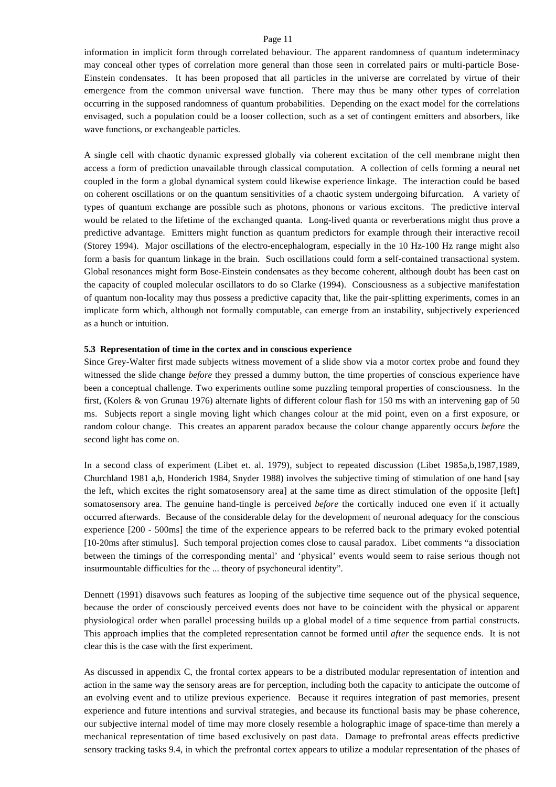information in implicit form through correlated behaviour. The apparent randomness of quantum indeterminacy may conceal other types of correlation more general than those seen in correlated pairs or multi-particle Bose-Einstein condensates. It has been proposed that all particles in the universe are correlated by virtue of their emergence from the common universal wave function. There may thus be many other types of correlation occurring in the supposed randomness of quantum probabilities. Depending on the exact model for the correlations envisaged, such a population could be a looser collection, such as a set of contingent emitters and absorbers, like wave functions, or exchangeable particles.

A single cell with chaotic dynamic expressed globally via coherent excitation of the cell membrane might then access a form of prediction unavailable through classical computation. A collection of cells forming a neural net coupled in the form a global dynamical system could likewise experience linkage. The interaction could be based on coherent oscillations or on the quantum sensitivities of a chaotic system undergoing bifurcation. A variety of types of quantum exchange are possible such as photons, phonons or various excitons. The predictive interval would be related to the lifetime of the exchanged quanta. Long-lived quanta or reverberations might thus prove a predictive advantage. Emitters might function as quantum predictors for example through their interactive recoil (Storey 1994). Major oscillations of the electro-encephalogram, especially in the 10 Hz-100 Hz range might also form a basis for quantum linkage in the brain. Such oscillations could form a self-contained transactional system. Global resonances might form Bose-Einstein condensates as they become coherent, although doubt has been cast on the capacity of coupled molecular oscillators to do so Clarke (1994). Consciousness as a subjective manifestation of quantum non-locality may thus possess a predictive capacity that, like the pair-splitting experiments, comes in an implicate form which, although not formally computable, can emerge from an instability, subjectively experienced as a hunch or intuition.

#### **5.3 Representation of time in the cortex and in conscious experience**

Since Grey-Walter first made subjects witness movement of a slide show via a motor cortex probe and found they witnessed the slide change *before* they pressed a dummy button, the time properties of conscious experience have been a conceptual challenge. Two experiments outline some puzzling temporal properties of consciousness. In the first, (Kolers & von Grunau 1976) alternate lights of different colour flash for 150 ms with an intervening gap of 50 ms. Subjects report a single moving light which changes colour at the mid point, even on a first exposure, or random colour change. This creates an apparent paradox because the colour change apparently occurs *before* the second light has come on.

In a second class of experiment (Libet et. al. 1979), subject to repeated discussion (Libet 1985a,b,1987,1989, Churchland 1981 a,b, Honderich 1984, Snyder 1988) involves the subjective timing of stimulation of one hand [say the left, which excites the right somatosensory area] at the same time as direct stimulation of the opposite [left] somatosensory area. The genuine hand-tingle is perceived *before* the cortically induced one even if it actually occurred afterwards. Because of the considerable delay for the development of neuronal adequacy for the conscious experience [200 - 500ms] the time of the experience appears to be referred back to the primary evoked potential [10-20ms after stimulus]. Such temporal projection comes close to causal paradox. Libet comments "a dissociation between the timings of the corresponding mental' and 'physical' events would seem to raise serious though not insurmountable difficulties for the ... theory of psychoneural identity".

Dennett (1991) disavows such features as looping of the subjective time sequence out of the physical sequence, because the order of consciously perceived events does not have to be coincident with the physical or apparent physiological order when parallel processing builds up a global model of a time sequence from partial constructs. This approach implies that the completed representation cannot be formed until *after* the sequence ends. It is not clear this is the case with the first experiment.

As discussed in appendix C, the frontal cortex appears to be a distributed modular representation of intention and action in the same way the sensory areas are for perception, including both the capacity to anticipate the outcome of an evolving event and to utilize previous experience. Because it requires integration of past memories, present experience and future intentions and survival strategies, and because its functional basis may be phase coherence, our subjective internal model of time may more closely resemble a holographic image of space-time than merely a mechanical representation of time based exclusively on past data. Damage to prefrontal areas effects predictive sensory tracking tasks 9.4, in which the prefrontal cortex appears to utilize a modular representation of the phases of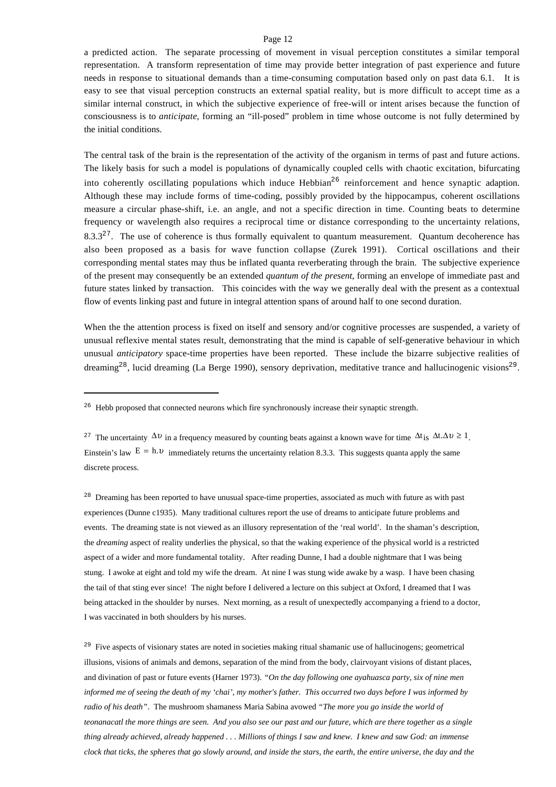a predicted action. The separate processing of movement in visual perception constitutes a similar temporal representation. A transform representation of time may provide better integration of past experience and future needs in response to situational demands than a time-consuming computation based only on past data 6.1. It is easy to see that visual perception constructs an external spatial reality, but is more difficult to accept time as a similar internal construct, in which the subjective experience of free-will or intent arises because the function of consciousness is to *anticipate*, forming an "ill-posed" problem in time whose outcome is not fully determined by the initial conditions.

The central task of the brain is the representation of the activity of the organism in terms of past and future actions. The likely basis for such a model is populations of dynamically coupled cells with chaotic excitation, bifurcating into coherently oscillating populations which induce Hebbian<sup>26</sup> reinforcement and hence synaptic adaption. Although these may include forms of time-coding, possibly provided by the hippocampus, coherent oscillations measure a circular phase-shift, i.e. an angle, and not a specific direction in time. Counting beats to determine frequency or wavelength also requires a reciprocal time or distance corresponding to the uncertainty relations, 8.3.3 $^{27}$ . The use of coherence is thus formally equivalent to quantum measurement. Quantum decoherence has also been proposed as a basis for wave function collapse (Zurek 1991). Cortical oscillations and their corresponding mental states may thus be inflated quanta reverberating through the brain. The subjective experience of the present may consequently be an extended *quantum of the present*, forming an envelope of immediate past and future states linked by transaction. This coincides with the way we generally deal with the present as a contextual flow of events linking past and future in integral attention spans of around half to one second duration.

When the the attention process is fixed on itself and sensory and/or cognitive processes are suspended, a variety of unusual reflexive mental states result, demonstrating that the mind is capable of self-generative behaviour in which unusual *anticipatory* space-time properties have been reported. These include the bizarre subjective realities of dreaming<sup>28</sup>, lucid dreaming (La Berge 1990), sensory deprivation, meditative trance and hallucinogenic visions<sup>29</sup>.

j

<sup>28</sup> Dreaming has been reported to have unusual space-time properties, associated as much with future as with past experiences (Dunne c1935). Many traditional cultures report the use of dreams to anticipate future problems and events. The dreaming state is not viewed as an illusory representation of the 'real world'. In the shaman's description, the *dreaming* aspect of reality underlies the physical, so that the waking experience of the physical world is a restricted aspect of a wider and more fundamental totality. After reading Dunne, I had a double nightmare that I was being stung. I awoke at eight and told my wife the dream. At nine I was stung wide awake by a wasp. I have been chasing the tail of that sting ever since! The night before I delivered a lecture on this subject at Oxford, I dreamed that I was being attacked in the shoulder by nurses. Next morning, as a result of unexpectedly accompanying a friend to a doctor, I was vaccinated in both shoulders by his nurses.

<sup>29</sup> Five aspects of visionary states are noted in societies making ritual shamanic use of hallucinogens; geometrical illusions, visions of animals and demons, separation of the mind from the body, clairvoyant visions of distant places, and divination of past or future events (Harner 1973). *"On the day following one ayahuasca party, six of nine men informed me of seeing the death of my 'chai', my mother's father. This occurred two days before I was informed by radio of his death"*. The mushroom shamaness Maria Sabina avowed *"The more you go inside the world of teonanacatl the more things are seen. And you also see our past and our future, which are there together as a single thing already achieved, already happened . . . Millions of things I saw and knew. I knew and saw God: an immense clock that ticks, the spheres that go slowly around, and inside the stars, the earth, the entire universe, the day and the*

<sup>&</sup>lt;sup>26</sup> Hebb proposed that connected neurons which fire synchronously increase their synaptic strength.

<sup>&</sup>lt;sup>27</sup> The uncertainty  $\Delta v$  in a frequency measured by counting beats against a known wave for time  $\Delta t$  is  $\Delta t \cdot \Delta v \ge 1$ . Einstein's law  $E = h.v$  immediately returns the uncertainty relation 8.3.3. This suggests quanta apply the same discrete process.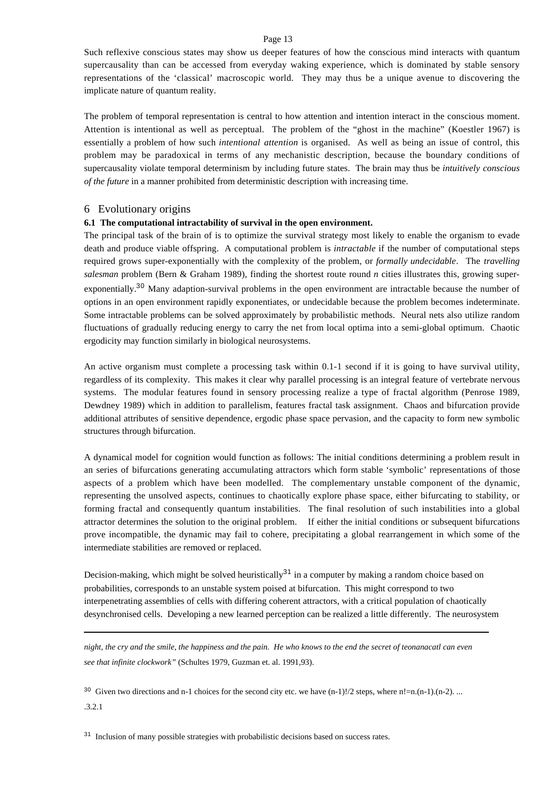Such reflexive conscious states may show us deeper features of how the conscious mind interacts with quantum supercausality than can be accessed from everyday waking experience, which is dominated by stable sensory representations of the 'classical' macroscopic world. They may thus be a unique avenue to discovering the implicate nature of quantum reality.

The problem of temporal representation is central to how attention and intention interact in the conscious moment. Attention is intentional as well as perceptual. The problem of the "ghost in the machine" (Koestler 1967) is essentially a problem of how such *intentional attention* is organised. As well as being an issue of control, this problem may be paradoxical in terms of any mechanistic description, because the boundary conditions of supercausality violate temporal determinism by including future states. The brain may thus be *intuitively conscious of the future* in a manner prohibited from deterministic description with increasing time.

#### 6 Evolutionary origins

j

## **6.1 The computational intractability of survival in the open environment.**

The principal task of the brain of is to optimize the survival strategy most likely to enable the organism to evade death and produce viable offspring. A computational problem is *intractable* if the number of computational steps required grows super-exponentially with the complexity of the problem, or *formally undecidable*. The *travelling salesman* problem (Bern & Graham 1989), finding the shortest route round *n* cities illustrates this, growing superexponentially.<sup>30</sup> Many adaption-survival problems in the open environment are intractable because the number of options in an open environment rapidly exponentiates, or undecidable because the problem becomes indeterminate. Some intractable problems can be solved approximately by probabilistic methods. Neural nets also utilize random fluctuations of gradually reducing energy to carry the net from local optima into a semi-global optimum. Chaotic ergodicity may function similarly in biological neurosystems.

An active organism must complete a processing task within 0.1-1 second if it is going to have survival utility, regardless of its complexity. This makes it clear why parallel processing is an integral feature of vertebrate nervous systems. The modular features found in sensory processing realize a type of fractal algorithm (Penrose 1989, Dewdney 1989) which in addition to parallelism, features fractal task assignment. Chaos and bifurcation provide additional attributes of sensitive dependence, ergodic phase space pervasion, and the capacity to form new symbolic structures through bifurcation.

A dynamical model for cognition would function as follows: The initial conditions determining a problem result in an series of bifurcations generating accumulating attractors which form stable 'symbolic' representations of those aspects of a problem which have been modelled. The complementary unstable component of the dynamic, representing the unsolved aspects, continues to chaotically explore phase space, either bifurcating to stability, or forming fractal and consequently quantum instabilities. The final resolution of such instabilities into a global attractor determines the solution to the original problem. If either the initial conditions or subsequent bifurcations prove incompatible, the dynamic may fail to cohere, precipitating a global rearrangement in which some of the intermediate stabilities are removed or replaced.

Decision-making, which might be solved heuristically<sup>31</sup> in a computer by making a random choice based on probabilities, corresponds to an unstable system poised at bifurcation. This might correspond to two interpenetrating assemblies of cells with differing coherent attractors, with a critical population of chaotically desynchronised cells. Developing a new learned perception can be realized a little differently. The neurosystem

*night, the cry and the smile, the happiness and the pain. He who knows to the end the secret of teonanacatl can even see that infinite clockwork"* (Schultes 1979, Guzman et. al. 1991,93).

<sup>30</sup> Given two directions and n-1 choices for the second city etc. we have  $(n-1)!/2$  steps, where  $n! = n.(n-1).(n-2)...$ .3.2.1

<sup>31</sup> Inclusion of many possible strategies with probabilistic decisions based on success rates.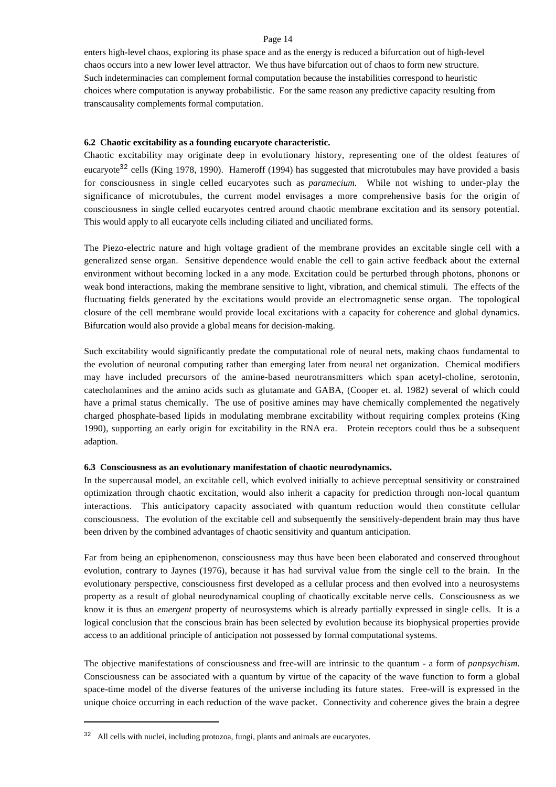enters high-level chaos, exploring its phase space and as the energy is reduced a bifurcation out of high-level chaos occurs into a new lower level attractor. We thus have bifurcation out of chaos to form new structure. Such indeterminacies can complement formal computation because the instabilities correspond to heuristic choices where computation is anyway probabilistic. For the same reason any predictive capacity resulting from transcausality complements formal computation.

### **6.2 Chaotic excitability as a founding eucaryote characteristic.**

Chaotic excitability may originate deep in evolutionary history, representing one of the oldest features of eucarvote<sup>32</sup> cells (King 1978, 1990). Hameroff (1994) has suggested that microtubules may have provided a basis for consciousness in single celled eucaryotes such as *paramecium*. While not wishing to under-play the significance of microtubules, the current model envisages a more comprehensive basis for the origin of consciousness in single celled eucaryotes centred around chaotic membrane excitation and its sensory potential. This would apply to all eucaryote cells including ciliated and unciliated forms.

The Piezo-electric nature and high voltage gradient of the membrane provides an excitable single cell with a generalized sense organ. Sensitive dependence would enable the cell to gain active feedback about the external environment without becoming locked in a any mode. Excitation could be perturbed through photons, phonons or weak bond interactions, making the membrane sensitive to light, vibration, and chemical stimuli. The effects of the fluctuating fields generated by the excitations would provide an electromagnetic sense organ. The topological closure of the cell membrane would provide local excitations with a capacity for coherence and global dynamics. Bifurcation would also provide a global means for decision-making.

Such excitability would significantly predate the computational role of neural nets, making chaos fundamental to the evolution of neuronal computing rather than emerging later from neural net organization. Chemical modifiers may have included precursors of the amine-based neurotransmitters which span acetyl-choline, serotonin, catecholamines and the amino acids such as glutamate and GABA, (Cooper et. al. 1982) several of which could have a primal status chemically. The use of positive amines may have chemically complemented the negatively charged phosphate-based lipids in modulating membrane excitability without requiring complex proteins (King 1990), supporting an early origin for excitability in the RNA era. Protein receptors could thus be a subsequent adaption.

### **6.3 Consciousness as an evolutionary manifestation of chaotic neurodynamics.**

In the supercausal model, an excitable cell, which evolved initially to achieve perceptual sensitivity or constrained optimization through chaotic excitation, would also inherit a capacity for prediction through non-local quantum interactions. This anticipatory capacity associated with quantum reduction would then constitute cellular consciousness. The evolution of the excitable cell and subsequently the sensitively-dependent brain may thus have been driven by the combined advantages of chaotic sensitivity and quantum anticipation.

Far from being an epiphenomenon, consciousness may thus have been been elaborated and conserved throughout evolution, contrary to Jaynes (1976), because it has had survival value from the single cell to the brain. In the evolutionary perspective, consciousness first developed as a cellular process and then evolved into a neurosystems property as a result of global neurodynamical coupling of chaotically excitable nerve cells. Consciousness as we know it is thus an *emergent* property of neurosystems which is already partially expressed in single cells. It is a logical conclusion that the conscious brain has been selected by evolution because its biophysical properties provide access to an additional principle of anticipation not possessed by formal computational systems.

The objective manifestations of consciousness and free-will are intrinsic to the quantum - a form of *panpsychism*. Consciousness can be associated with a quantum by virtue of the capacity of the wave function to form a global space-time model of the diverse features of the universe including its future states. Free-will is expressed in the unique choice occurring in each reduction of the wave packet. Connectivity and coherence gives the brain a degree

l

<sup>32</sup> All cells with nuclei, including protozoa, fungi, plants and animals are eucaryotes.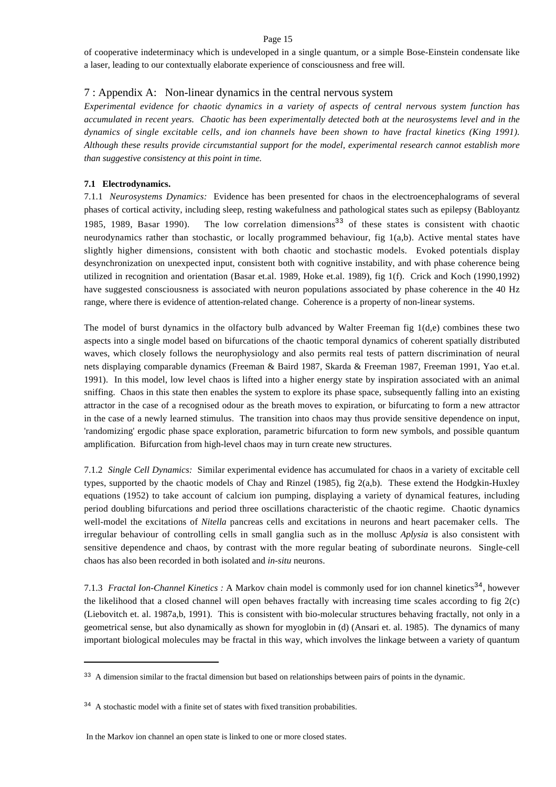of cooperative indeterminacy which is undeveloped in a single quantum, or a simple Bose-Einstein condensate like a laser, leading to our contextually elaborate experience of consciousness and free will.

## 7 : Appendix A: Non-linear dynamics in the central nervous system

*Experimental evidence for chaotic dynamics in a variety of aspects of central nervous system function has accumulated in recent years. Chaotic has been experimentally detected both at the neurosystems level and in the dynamics of single excitable cells, and ion channels have been shown to have fractal kinetics (King 1991). Although these results provide circumstantial support for the model, experimental research cannot establish more than suggestive consistency at this point in time.*

#### **7.1 Electrodynamics.**

l

7.1.1 *Neurosystems Dynamics:* Evidence has been presented for chaos in the electroencephalograms of several phases of cortical activity, including sleep, resting wakefulness and pathological states such as epilepsy (Babloyantz 1985, 1989, Basar 1990). The low correlation dimensions<sup>33</sup> of these states is consistent with chaotic neurodynamics rather than stochastic, or locally programmed behaviour, fig 1(a,b). Active mental states have slightly higher dimensions, consistent with both chaotic and stochastic models. Evoked potentials display desynchronization on unexpected input, consistent both with cognitive instability, and with phase coherence being utilized in recognition and orientation (Basar et.al. 1989, Hoke et.al. 1989), fig 1(f). Crick and Koch (1990,1992) have suggested consciousness is associated with neuron populations associated by phase coherence in the 40 Hz range, where there is evidence of attention-related change. Coherence is a property of non-linear systems.

The model of burst dynamics in the olfactory bulb advanced by Walter Freeman fig 1(d,e) combines these two aspects into a single model based on bifurcations of the chaotic temporal dynamics of coherent spatially distributed waves, which closely follows the neurophysiology and also permits real tests of pattern discrimination of neural nets displaying comparable dynamics (Freeman & Baird 1987, Skarda & Freeman 1987, Freeman 1991, Yao et.al. 1991). In this model, low level chaos is lifted into a higher energy state by inspiration associated with an animal sniffing. Chaos in this state then enables the system to explore its phase space, subsequently falling into an existing attractor in the case of a recognised odour as the breath moves to expiration, or bifurcating to form a new attractor in the case of a newly learned stimulus. The transition into chaos may thus provide sensitive dependence on input, 'randomizing' ergodic phase space exploration, parametric bifurcation to form new symbols, and possible quantum amplification. Bifurcation from high-level chaos may in turn create new structures.

7.1.2 *Single Cell Dynamics:* Similar experimental evidence has accumulated for chaos in a variety of excitable cell types, supported by the chaotic models of Chay and Rinzel (1985), fig 2(a,b). These extend the Hodgkin-Huxley equations (1952) to take account of calcium ion pumping, displaying a variety of dynamical features, including period doubling bifurcations and period three oscillations characteristic of the chaotic regime. Chaotic dynamics well-model the excitations of *Nitella* pancreas cells and excitations in neurons and heart pacemaker cells. The irregular behaviour of controlling cells in small ganglia such as in the mollusc *Aplysia* is also consistent with sensitive dependence and chaos, by contrast with the more regular beating of subordinate neurons. Single-cell chaos has also been recorded in both isolated and *in-situ* neurons.

7.1.3 *Fractal Ion-Channel Kinetics :* A Markov chain model is commonly used for ion channel kinetics34, however the likelihood that a closed channel will open behaves fractally with increasing time scales according to fig 2(c) (Liebovitch et. al. 1987a,b, 1991). This is consistent with bio-molecular structures behaving fractally, not only in a geometrical sense, but also dynamically as shown for myoglobin in (d) (Ansari et. al. 1985). The dynamics of many important biological molecules may be fractal in this way, which involves the linkage between a variety of quantum

<sup>&</sup>lt;sup>33</sup> A dimension similar to the fractal dimension but based on relationships between pairs of points in the dynamic.

<sup>34</sup> A stochastic model with a finite set of states with fixed transition probabilities.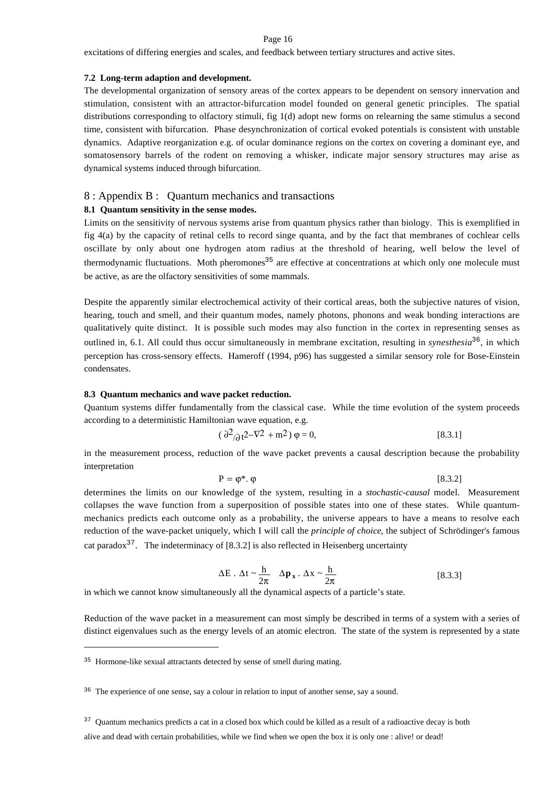excitations of differing energies and scales, and feedback between tertiary structures and active sites.

#### **7.2 Long-term adaption and development.**

The developmental organization of sensory areas of the cortex appears to be dependent on sensory innervation and stimulation, consistent with an attractor-bifurcation model founded on general genetic principles. The spatial distributions corresponding to olfactory stimuli, fig 1(d) adopt new forms on relearning the same stimulus a second time, consistent with bifurcation. Phase desynchronization of cortical evoked potentials is consistent with unstable dynamics. Adaptive reorganization e.g. of ocular dominance regions on the cortex on covering a dominant eye, and somatosensory barrels of the rodent on removing a whisker, indicate major sensory structures may arise as dynamical systems induced through bifurcation.

## 8 : Appendix B : Quantum mechanics and transactions

### **8.1 Quantum sensitivity in the sense modes.**

Limits on the sensitivity of nervous systems arise from quantum physics rather than biology. This is exemplified in fig 4(a) by the capacity of retinal cells to record singe quanta, and by the fact that membranes of cochlear cells oscillate by only about one hydrogen atom radius at the threshold of hearing, well below the level of thermodynamic fluctuations. Moth pheromones<sup>35</sup> are effective at concentrations at which only one molecule must be active, as are the olfactory sensitivities of some mammals.

Despite the apparently similar electrochemical activity of their cortical areas, both the subjective natures of vision, hearing, touch and smell, and their quantum modes, namely photons, phonons and weak bonding interactions are qualitatively quite distinct. It is possible such modes may also function in the cortex in representing senses as outlined in, 6.1. All could thus occur simultaneously in membrane excitation, resulting in *synesthesia*<sup>36</sup>, in which perception has cross-sensory effects. Hameroff (1994, p96) has suggested a similar sensory role for Bose-Einstein condensates.

## **8.3 Quantum mechanics and wave packet reduction.**

Quantum systems differ fundamentally from the classical case. While the time evolution of the system proceeds according to a deterministic Hamiltonian wave equation, e.g.

$$
(\partial^2_{\partial t} 2 - \nabla^2 + m^2) \varphi = 0,
$$
 [8.3.1]

in the measurement process, reduction of the wave packet prevents a causal description because the probability interpretation

$$
P = \varphi^*, \varphi \tag{8.3.2}
$$

determines the limits on our knowledge of the system, resulting in a *stochastic-causal* model. Measurement collapses the wave function from a superposition of possible states into one of these states. While quantummechanics predicts each outcome only as a probability, the universe appears to have a means to resolve each reduction of the wave-packet uniquely, which I will call the *principle of choice*, the subject of Schrödinger's famous cat paradox<sup>37</sup>. The indeterminacy of [8.3.2] is also reflected in Heisenberg uncertainty

$$
\Delta E \cdot \Delta t \sim \frac{h}{2\pi} \quad \Delta p_x \cdot \Delta x \sim \frac{h}{2\pi} \tag{8.3.3}
$$

in which we cannot know simultaneously all the dynamical aspects of a particle's state*.*

Reduction of the wave packet in a measurement can most simply be described in terms of a system with a series of distinct eigenvalues such as the energy levels of an atomic electron. The state of the system is represented by a state

j

<sup>35</sup> Hormone-like sexual attractants detected by sense of smell during mating.

<sup>36</sup> The experience of one sense, say a colour in relation to input of another sense, say a sound.

<sup>&</sup>lt;sup>37</sup> Quantum mechanics predicts a cat in a closed box which could be killed as a result of a radioactive decay is both alive and dead with certain probabilities, while we find when we open the box it is only one : alive! or dead!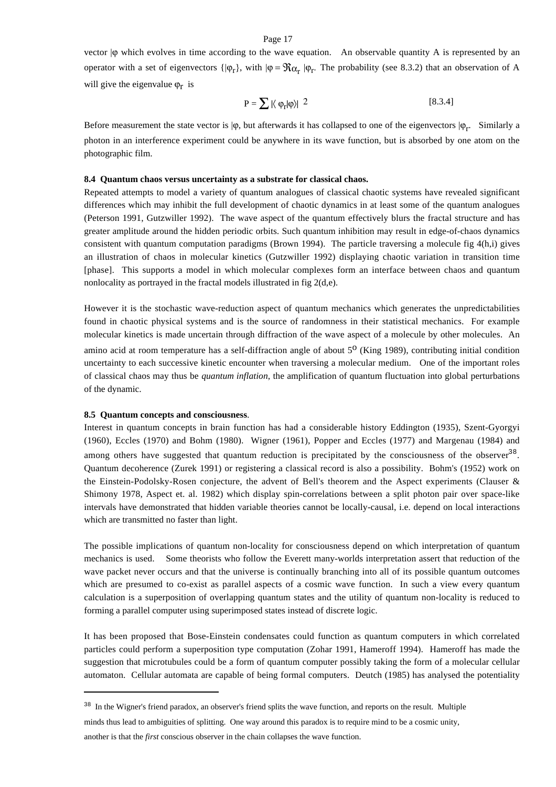vector  $|\varphi|$  which evolves in time according to the wave equation. An observable quantity A is represented by an operator with a set of eigenvectors  $\{\ket{\varphi_r}, \text{ with } |\varphi = \Re \alpha_r \ket{\varphi_r}$ . The probability (see 8.3.2) that an observation of A will give the eigenvalue  $\varphi_r$  is

$$
P = \sum |\langle \varphi_r | \varphi \rangle|^{2} \tag{8.3.4}
$$

Before measurement the state vector is  $|\varphi$ , but afterwards it has collapsed to one of the eigenvectors  $|\varphi_r|$ . Similarly a photon in an interference experiment could be anywhere in its wave function, but is absorbed by one atom on the photographic film.

#### **8.4 Quantum chaos versus uncertainty as a substrate for classical chaos.**

Repeated attempts to model a variety of quantum analogues of classical chaotic systems have revealed significant differences which may inhibit the full development of chaotic dynamics in at least some of the quantum analogues (Peterson 1991, Gutzwiller 1992). The wave aspect of the quantum effectively blurs the fractal structure and has greater amplitude around the hidden periodic orbits. Such quantum inhibition may result in edge-of-chaos dynamics consistent with quantum computation paradigms (Brown 1994). The particle traversing a molecule fig 4(h,i) gives an illustration of chaos in molecular kinetics (Gutzwiller 1992) displaying chaotic variation in transition time [phase]. This supports a model in which molecular complexes form an interface between chaos and quantum nonlocality as portrayed in the fractal models illustrated in fig 2(d,e).

However it is the stochastic wave-reduction aspect of quantum mechanics which generates the unpredictabilities found in chaotic physical systems and is the source of randomness in their statistical mechanics. For example molecular kinetics is made uncertain through diffraction of the wave aspect of a molecule by other molecules. An amino acid at room temperature has a self-diffraction angle of about  $5^{\circ}$  (King 1989), contributing initial condition uncertainty to each successive kinetic encounter when traversing a molecular medium. One of the important roles of classical chaos may thus be *quantum inflation*, the amplification of quantum fluctuation into global perturbations of the dynamic.

#### **8.5 Quantum concepts and consciousness**.

j

Interest in quantum concepts in brain function has had a considerable history Eddington (1935), Szent-Gyorgyi (1960), Eccles (1970) and Bohm (1980). Wigner (1961), Popper and Eccles (1977) and Margenau (1984) and among others have suggested that quantum reduction is precipitated by the consciousness of the observer<sup>38</sup>. Quantum decoherence (Zurek 1991) or registering a classical record is also a possibility. Bohm's (1952) work on the Einstein-Podolsky-Rosen conjecture, the advent of Bell's theorem and the Aspect experiments (Clauser & Shimony 1978, Aspect et. al. 1982) which display spin-correlations between a split photon pair over space-like intervals have demonstrated that hidden variable theories cannot be locally-causal, i.e. depend on local interactions which are transmitted no faster than light.

The possible implications of quantum non-locality for consciousness depend on which interpretation of quantum mechanics is used. Some theorists who follow the Everett many-worlds interpretation assert that reduction of the wave packet never occurs and that the universe is continually branching into all of its possible quantum outcomes which are presumed to co-exist as parallel aspects of a cosmic wave function. In such a view every quantum calculation is a superposition of overlapping quantum states and the utility of quantum non-locality is reduced to forming a parallel computer using superimposed states instead of discrete logic.

It has been proposed that Bose-Einstein condensates could function as quantum computers in which correlated particles could perform a superposition type computation (Zohar 1991, Hameroff 1994). Hameroff has made the suggestion that microtubules could be a form of quantum computer possibly taking the form of a molecular cellular automaton. Cellular automata are capable of being formal computers. Deutch (1985) has analysed the potentiality

minds thus lead to ambiguities of splitting. One way around this paradox is to require mind to be a cosmic unity, another is that the *first* conscious observer in the chain collapses the wave function.

Page 17

<sup>38</sup> In the Wigner's friend paradox, an observer's friend splits the wave function, and reports on the result. Multiple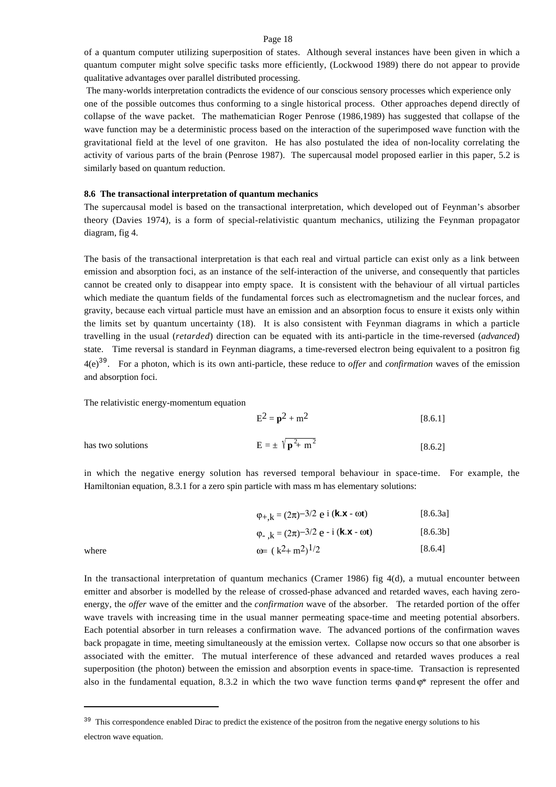of a quantum computer utilizing superposition of states. Although several instances have been given in which a quantum computer might solve specific tasks more efficiently, (Lockwood 1989) there do not appear to provide qualitative advantages over parallel distributed processing.

 The many-worlds interpretation contradicts the evidence of our conscious sensory processes which experience only one of the possible outcomes thus conforming to a single historical process. Other approaches depend directly of collapse of the wave packet. The mathematician Roger Penrose (1986,1989) has suggested that collapse of the wave function may be a deterministic process based on the interaction of the superimposed wave function with the gravitational field at the level of one graviton. He has also postulated the idea of non-locality correlating the activity of various parts of the brain (Penrose 1987). The supercausal model proposed earlier in this paper, 5.2 is similarly based on quantum reduction.

#### **8.6 The transactional interpretation of quantum mechanics**

The supercausal model is based on the transactional interpretation, which developed out of Feynman's absorber theory (Davies 1974), is a form of special-relativistic quantum mechanics, utilizing the Feynman propagator diagram, fig 4.

The basis of the transactional interpretation is that each real and virtual particle can exist only as a link between emission and absorption foci, as an instance of the self-interaction of the universe, and consequently that particles cannot be created only to disappear into empty space. It is consistent with the behaviour of all virtual particles which mediate the quantum fields of the fundamental forces such as electromagnetism and the nuclear forces, and gravity, because each virtual particle must have an emission and an absorption focus to ensure it exists only within the limits set by quantum uncertainty (18). It is also consistent with Feynman diagrams in which a particle travelling in the usual (*retarded*) direction can be equated with its anti-particle in the time-reversed (*advanced*) state. Time reversal is standard in Feynman diagrams, a time-reversed electron being equivalent to a positron fig 4(e)39. For a photon, which is its own anti-particle, these reduce to *offer* and *confirmation* waves of the emission and absorption foci.

The relativistic energy-momentum equation

$$
E^2 = \mathbf{p}^2 + m^2 \tag{8.6.1}
$$

[8.6.2]

has two solutions

l

in which the negative energy solution has reversed temporal behaviour in space-time. For example, the Hamiltonian equation, 8.3.1 for a zero spin particle with mass m has elementary solutions:

 $^{2}$ + m<sup>2</sup>

$$
\varphi_{+,k} = (2\pi)^{-3/2} e^{i (k.x - \omega t)}
$$
 [8.6.3a]

$$
\varphi_{-,\mathbf{k}} = (2\pi)^{-3/2} \mathbf{e} - \mathbf{i} (\mathbf{k}.\mathbf{x} - \omega \mathbf{t})
$$
 [8.6.3b]

where 
$$
\omega = (k^2 + m^2)^{1/2}
$$
 [8.6.4]

In the transactional interpretation of quantum mechanics (Cramer 1986) fig 4(d), a mutual encounter between emitter and absorber is modelled by the release of crossed-phase advanced and retarded waves, each having zeroenergy, the *offer* wave of the emitter and the *confirmation* wave of the absorber. The retarded portion of the offer wave travels with increasing time in the usual manner permeating space-time and meeting potential absorbers. Each potential absorber in turn releases a confirmation wave. The advanced portions of the confirmation waves back propagate in time, meeting simultaneously at the emission vertex. Collapse now occurs so that one absorber is associated with the emitter. The mutual interference of these advanced and retarded waves produces a real superposition (the photon) between the emission and absorption events in space-time. Transaction is represented also in the fundamental equation, 8.3.2 in which the two wave function terms  $\phi$  and  $\phi^*$  represent the offer and

<sup>&</sup>lt;sup>39</sup> This correspondence enabled Dirac to predict the existence of the positron from the negative energy solutions to his electron wave equation.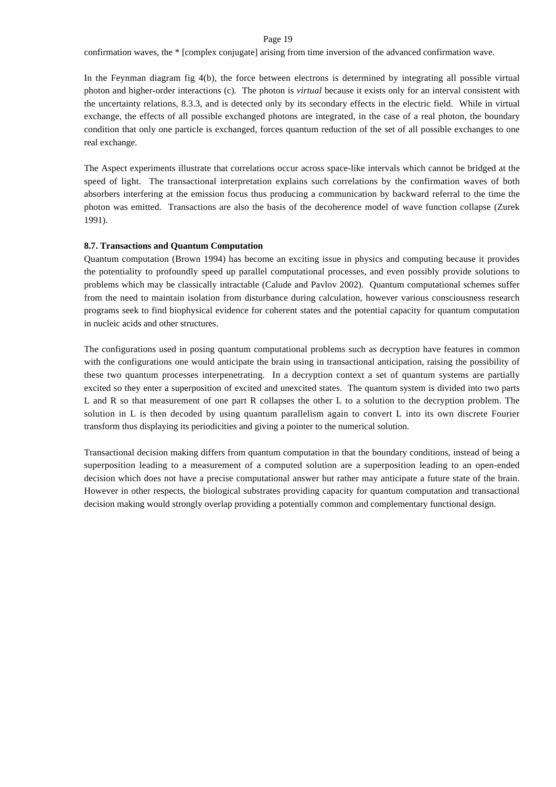confirmation waves, the \* [complex conjugate] arising from time inversion of the advanced confirmation wave.

In the Feynman diagram fig 4(b), the force between electrons is determined by integrating all possible virtual photon and higher-order interactions (c). The photon is *virtual* because it exists only for an interval consistent with the uncertainty relations, 8.3.3, and is detected only by its secondary effects in the electric field. While in virtual exchange, the effects of all possible exchanged photons are integrated, in the case of a real photon, the boundary condition that only one particle is exchanged, forces quantum reduction of the set of all possible exchanges to one real exchange.

The Aspect experiments illustrate that correlations occur across space-like intervals which cannot be bridged at the speed of light. The transactional interpretation explains such correlations by the confirmation waves of both absorbers interfering at the emission focus thus producing a communication by backward referral to the time the photon was emitted. Transactions are also the basis of the decoherence model of wave function collapse (Zurek 1991).

#### **8.7. Transactions and Quantum Computation**

Quantum computation (Brown 1994) has become an exciting issue in physics and computing because it provides the potentiality to profoundly speed up parallel computational processes, and even possibly provide solutions to problems which may be classically intractable (Calude and Pavlov 2002). Quantum computational schemes suffer from the need to maintain isolation from disturbance during calculation, however various consciousness research programs seek to find biophysical evidence for coherent states and the potential capacity for quantum computation in nucleic acids and other structures.

The configurations used in posing quantum computational problems such as decryption have features in common with the configurations one would anticipate the brain using in transactional anticipation, raising the possibility of these two quantum processes interpenetrating. In a decryption context a set of quantum systems are partially excited so they enter a superposition of excited and unexcited states. The quantum system is divided into two parts L and R so that measurement of one part R collapses the other L to a solution to the decryption problem. The solution in L is then decoded by using quantum parallelism again to convert L into its own discrete Fourier transform thus displaying its periodicities and giving a pointer to the numerical solution.

Transactional decision making differs from quantum computation in that the boundary conditions, instead of being a superposition leading to a measurement of a computed solution are a superposition leading to an open-ended decision which does not have a precise computational answer but rather may anticipate a future state of the brain. However in other respects, the biological substrates providing capacity for quantum computation and transactional decision making would strongly overlap providing a potentially common and complementary functional design.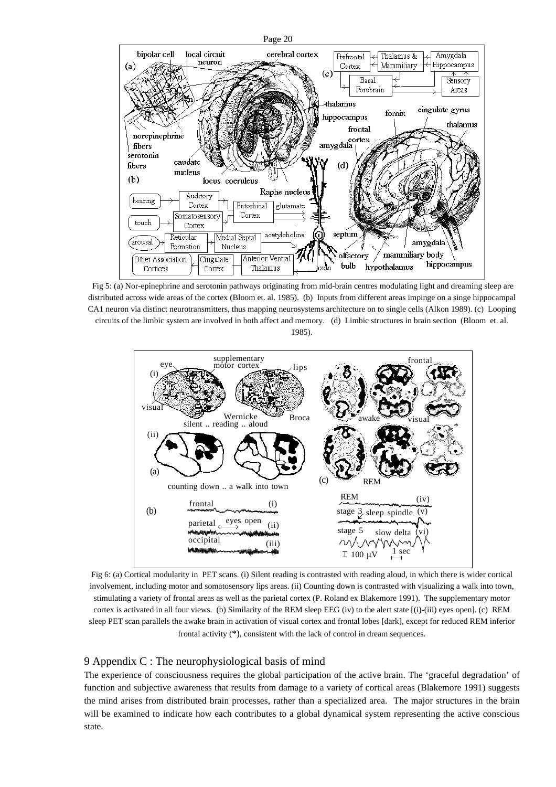

 Fig 5: (a) Nor-epinephrine and serotonin pathways originating from mid-brain centres modulating light and dreaming sleep are distributed across wide areas of the cortex (Bloom et. al. 1985). (b) Inputs from different areas impinge on a singe hippocampal CA1 neuron via distinct neurotransmitters, thus mapping neurosystems architecture on to single cells (Alkon 1989). (c) Looping circuits of the limbic system are involved in both affect and memory. (d) Limbic structures in brain section (Bloom et. al. 1985).



Fig 6: (a) Cortical modularity in PET scans. (i) Silent reading is contrasted with reading aloud, in which there is wider cortical involvement, including motor and somatosensory lips areas. (ii) Counting down is contrasted with visualizing a walk into town, stimulating a variety of frontal areas as well as the parietal cortex (P. Roland ex Blakemore 1991). The supplementary motor cortex is activated in all four views. (b) Similarity of the REM sleep EEG (iv) to the alert state [(i)-(iii) eyes open]. (c) REM sleep PET scan parallels the awake brain in activation of visual cortex and frontal lobes [dark], except for reduced REM inferior frontal activity (\*), consistent with the lack of control in dream sequences.

## 9 Appendix C : The neurophysiological basis of mind

The experience of consciousness requires the global participation of the active brain. The 'graceful degradation' of function and subjective awareness that results from damage to a variety of cortical areas (Blakemore 1991) suggests the mind arises from distributed brain processes, rather than a specialized area. The major structures in the brain will be examined to indicate how each contributes to a global dynamical system representing the active conscious state.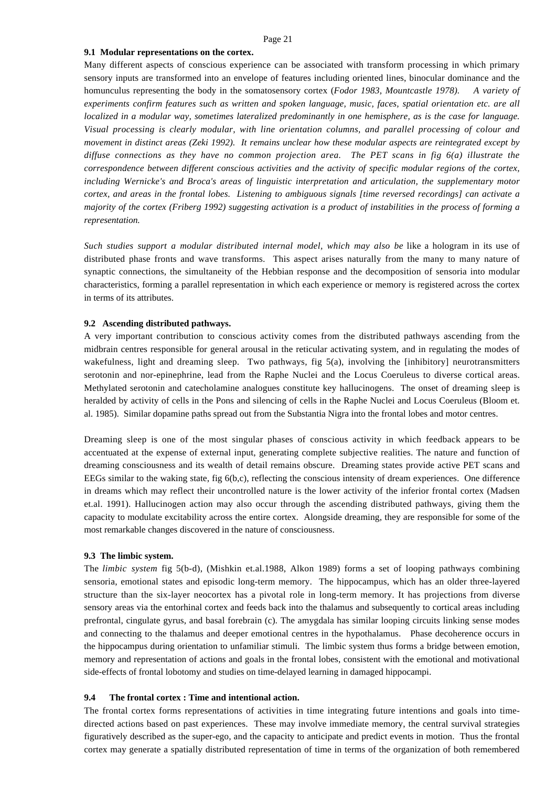#### **9.1 Modular representations on the cortex.**

Many different aspects of conscious experience can be associated with transform processing in which primary sensory inputs are transformed into an envelope of features including oriented lines, binocular dominance and the homunculus representing the body in the somatosensory cortex (*Fodor 1983, Mountcastle 1978). A variety of experiments confirm features such as written and spoken language, music, faces, spatial orientation etc. are all localized in a modular way, sometimes lateralized predominantly in one hemisphere, as is the case for language. Visual processing is clearly modular, with line orientation columns, and parallel processing of colour and movement in distinct areas (Zeki 1992). It remains unclear how these modular aspects are reintegrated except by diffuse connections as they have no common projection area. The PET scans in fig 6(a) illustrate the correspondence between different conscious activities and the activity of specific modular regions of the cortex, including Wernicke's and Broca's areas of linguistic interpretation and articulation, the supplementary motor cortex, and areas in the frontal lobes. Listening to ambiguous signals [time reversed recordings] can activate a majority of the cortex (Friberg 1992) suggesting activation is a product of instabilities in the process of forming a representation.*

Such studies support a modular distributed internal model, which may also be like a hologram in its use of distributed phase fronts and wave transforms. This aspect arises naturally from the many to many nature of synaptic connections, the simultaneity of the Hebbian response and the decomposition of sensoria into modular characteristics, forming a parallel representation in which each experience or memory is registered across the cortex in terms of its attributes.

### **9.2 Ascending distributed pathways.**

A very important contribution to conscious activity comes from the distributed pathways ascending from the midbrain centres responsible for general arousal in the reticular activating system, and in regulating the modes of wakefulness, light and dreaming sleep. Two pathways, fig 5(a), involving the [inhibitory] neurotransmitters serotonin and nor-epinephrine, lead from the Raphe Nuclei and the Locus Coeruleus to diverse cortical areas. Methylated serotonin and catecholamine analogues constitute key hallucinogens. The onset of dreaming sleep is heralded by activity of cells in the Pons and silencing of cells in the Raphe Nuclei and Locus Coeruleus (Bloom et. al. 1985). Similar dopamine paths spread out from the Substantia Nigra into the frontal lobes and motor centres.

Dreaming sleep is one of the most singular phases of conscious activity in which feedback appears to be accentuated at the expense of external input, generating complete subjective realities. The nature and function of dreaming consciousness and its wealth of detail remains obscure. Dreaming states provide active PET scans and EEGs similar to the waking state, fig 6(b,c), reflecting the conscious intensity of dream experiences. One difference in dreams which may reflect their uncontrolled nature is the lower activity of the inferior frontal cortex (Madsen et.al. 1991). Hallucinogen action may also occur through the ascending distributed pathways, giving them the capacity to modulate excitability across the entire cortex. Alongside dreaming, they are responsible for some of the most remarkable changes discovered in the nature of consciousness.

#### **9.3 The limbic system.**

The *limbic system* fig 5(b-d), (Mishkin et.al.1988, Alkon 1989) forms a set of looping pathways combining sensoria, emotional states and episodic long-term memory. The hippocampus, which has an older three-layered structure than the six-layer neocortex has a pivotal role in long-term memory. It has projections from diverse sensory areas via the entorhinal cortex and feeds back into the thalamus and subsequently to cortical areas including prefrontal, cingulate gyrus, and basal forebrain (c). The amygdala has similar looping circuits linking sense modes and connecting to the thalamus and deeper emotional centres in the hypothalamus. Phase decoherence occurs in the hippocampus during orientation to unfamiliar stimuli. The limbic system thus forms a bridge between emotion, memory and representation of actions and goals in the frontal lobes, consistent with the emotional and motivational side-effects of frontal lobotomy and studies on time-delayed learning in damaged hippocampi.

#### **9.4 The frontal cortex : Time and intentional action.**

The frontal cortex forms representations of activities in time integrating future intentions and goals into timedirected actions based on past experiences. These may involve immediate memory, the central survival strategies figuratively described as the super-ego, and the capacity to anticipate and predict events in motion. Thus the frontal cortex may generate a spatially distributed representation of time in terms of the organization of both remembered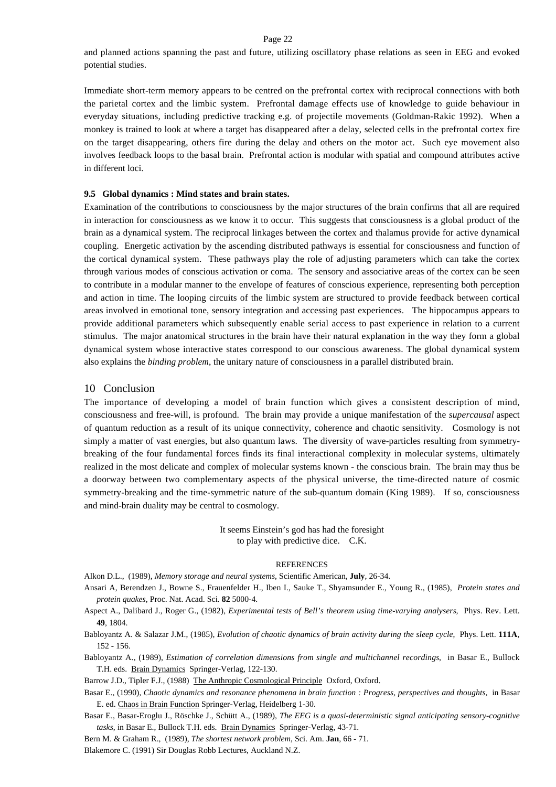and planned actions spanning the past and future, utilizing oscillatory phase relations as seen in EEG and evoked potential studies.

Immediate short-term memory appears to be centred on the prefrontal cortex with reciprocal connections with both the parietal cortex and the limbic system. Prefrontal damage effects use of knowledge to guide behaviour in everyday situations, including predictive tracking e.g. of projectile movements (Goldman-Rakic 1992). When a monkey is trained to look at where a target has disappeared after a delay, selected cells in the prefrontal cortex fire on the target disappearing, others fire during the delay and others on the motor act. Such eye movement also involves feedback loops to the basal brain. Prefrontal action is modular with spatial and compound attributes active in different loci.

#### **9.5 Global dynamics : Mind states and brain states.**

Examination of the contributions to consciousness by the major structures of the brain confirms that all are required in interaction for consciousness as we know it to occur. This suggests that consciousness is a global product of the brain as a dynamical system. The reciprocal linkages between the cortex and thalamus provide for active dynamical coupling. Energetic activation by the ascending distributed pathways is essential for consciousness and function of the cortical dynamical system. These pathways play the role of adjusting parameters which can take the cortex through various modes of conscious activation or coma. The sensory and associative areas of the cortex can be seen to contribute in a modular manner to the envelope of features of conscious experience, representing both perception and action in time. The looping circuits of the limbic system are structured to provide feedback between cortical areas involved in emotional tone, sensory integration and accessing past experiences. The hippocampus appears to provide additional parameters which subsequently enable serial access to past experience in relation to a current stimulus. The major anatomical structures in the brain have their natural explanation in the way they form a global dynamical system whose interactive states correspond to our conscious awareness. The global dynamical system also explains the *binding problem*, the unitary nature of consciousness in a parallel distributed brain.

#### 10 Conclusion

The importance of developing a model of brain function which gives a consistent description of mind, consciousness and free-will, is profound. The brain may provide a unique manifestation of the *supercausal* aspect of quantum reduction as a result of its unique connectivity, coherence and chaotic sensitivity. Cosmology is not simply a matter of vast energies, but also quantum laws. The diversity of wave-particles resulting from symmetrybreaking of the four fundamental forces finds its final interactional complexity in molecular systems, ultimately realized in the most delicate and complex of molecular systems known - the conscious brain. The brain may thus be a doorway between two complementary aspects of the physical universe, the time-directed nature of cosmic symmetry-breaking and the time-symmetric nature of the sub-quantum domain (King 1989). If so, consciousness and mind-brain duality may be central to cosmology.

> It seems Einstein's god has had the foresight to play with predictive dice. C.K.

#### **REFERENCES**

Alkon D.L., (1989), *Memory storage and neural systems*, Scientific American, **July**, 26-34.

Ansari A, Berendzen J., Bowne S., Frauenfelder H., Iben I., Sauke T., Shyamsunder E., Young R., (1985), *Protein states and protein quakes*, Proc. Nat. Acad. Sci. **82** 5000-4.

Aspect A., Dalibard J., Roger G., (1982), *Experimental tests of Bell's theorem using time-varying analysers*, Phys. Rev. Lett. **49**, 1804.

Babloyantz A. & Salazar J.M., (1985), *Evolution of chaotic dynamics of brain activity during the sleep cycle*, Phys. Lett. **111A**, 152 - 156.

Babloyantz A., (1989), *Estimation of correlation dimensions from single and multichannel recordings*, in Basar E., Bullock T.H. eds. Brain Dynamics Springer-Verlag, 122-130.

Barrow J.D., Tipler F.J., (1988) The Anthropic Cosmological Principle Oxford, Oxford.

Basar E., (1990), *Chaotic dynamics and resonance phenomena in brain function : Progress, perspectives and thoughts*, in Basar E. ed. Chaos in Brain Function Springer-Verlag, Heidelberg 1-30.

Basar E., Basar-Eroglu J., Röschke J., Schütt A., (1989), *The EEG is a quasi-deterministic signal anticipating sensory-cognitive tasks*, in Basar E., Bullock T.H. eds. Brain Dynamics Springer-Verlag, 43-71.

Bern M. & Graham R., (1989), *The shortest network problem*, Sci. Am. **Jan**, 66 - 71.

Blakemore C. (1991) Sir Douglas Robb Lectures, Auckland N.Z.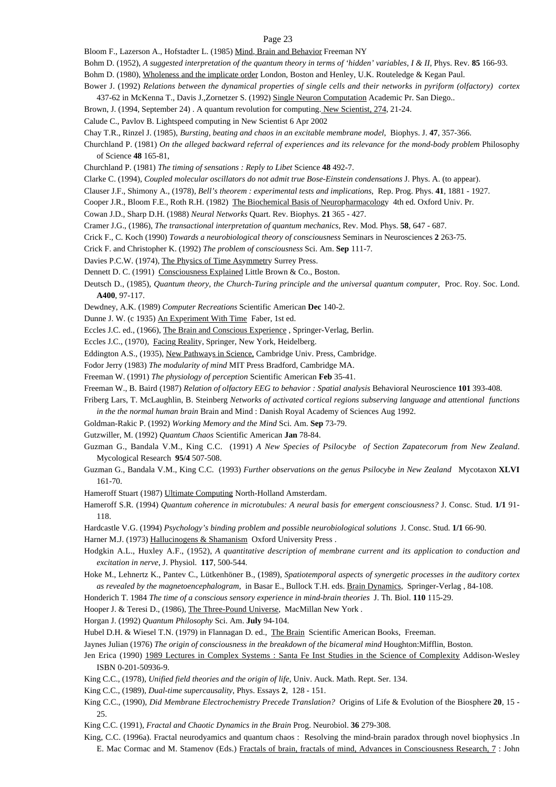Bloom F., Lazerson A., Hofstadter L. (1985) Mind, Brain and Behavior Freeman NY

Bohm D. (1952), *A suggested interpretation of the quantum theory in terms of 'hidden' variables, I & II,* Phys. Rev. **85** 166-93.

- Bohm D. (1980), Wholeness and the implicate order London, Boston and Henley, U.K. Routeledge & Kegan Paul.
- Bower J. (1992) *Relations between the dynamical properties of single cells and their networks in pyriform (olfactory) cortex* 437-62 in McKenna T., Davis J.,Zornetzer S. (1992) Single Neuron Computation Academic Pr. San Diego..
- Brown, J. (1994, September 24) . A quantum revolution for computing. New Scientist, 274, 21-24.
- Calude C., Pavlov B. Lightspeed computing in New Scientist 6 Apr 2002
- Chay T.R., Rinzel J. (1985), *Bursting, beating and chaos in an excitable membrane model*, Biophys. J. **47**, 357-366.
- Churchland P. (1981) *On the alleged backward referral of experiences and its relevance for the mond-body problem* Philosophy of Science **48** 165-81,
- Churchland P. (1981) *The timing of sensations : Reply to Libet* Science **48** 492-7.
- Clarke C. (1994), *Coupled molecular oscillators do not admit true Bose-Einstein condensations* J. Phys. A. (to appear).
- Clauser J.F., Shimony A., (1978), *Bell's theorem : experimental tests and implications*, Rep. Prog. Phys. **41**, 1881 1927.
- Cooper J.R., Bloom F.E., Roth R.H. (1982) The Biochemical Basis of Neuropharmacology 4th ed. Oxford Univ. Pr.
- Cowan J.D., Sharp D.H. (1988) *Neural Networks* Quart. Rev. Biophys. **21** 365 427.
- Cramer J.G., (1986), *The transactional interpretation of quantum mechanics*, Rev. Mod. Phys. **58**, 647 687.
- Crick F., C. Koch (1990) *Towards a neurobiological theory of consciousness* Seminars in Neurosciences **2** 263-75.
- Crick F. and Christopher K. (1992) *The problem of consciousness* Sci. Am. **Sep** 111-7.
- Davies P.C.W. (1974), The Physics of Time Asymmetry Surrey Press.
- Dennett D. C. (1991) Consciousness Explained Little Brown & Co., Boston.
- Deutsch D., (1985), *Quantum theory, the Church-Turing principle and the universal quantum computer*, Proc. Roy. Soc. Lond. **A400**, 97-117.
- Dewdney, A.K. (1989) *Computer Recreations* Scientific American **Dec** 140-2.
- Dunne J. W. (c 1935) An Experiment With Time Faber, 1st ed.
- Eccles J.C. ed., (1966), The Brain and Conscious Experience , Springer-Verlag, Berlin.
- Eccles J.C., (1970), Facing Reality, Springer, New York, Heidelberg.
- Eddington A.S., (1935), New Pathways in Science, Cambridge Univ. Press, Cambridge.
- Fodor Jerry (1983) *The modularity of mind* MIT Press Bradford, Cambridge MA.
- Freeman W. (1991) *The physiology of perception* Scientific American **Feb** 35-41.
- Freeman W., B. Baird (1987) *Relation of olfactory EEG to behavior : Spatial analysis* Behavioral Neuroscience **101** 393-408.
- Friberg Lars, T. McLaughlin, B. Steinberg *Networks of activated cortical regions subserving language and attentional functions in the the normal human brain* Brain and Mind : Danish Royal Academy of Sciences Aug 1992.
- Goldman-Rakic P. (1992) *Working Memory and the Mind* Sci. Am. **Sep** 73-79.
- Gutzwiller, M. (1992) *Quantum Chaos* Scientific American **Jan** 78-84.
- Guzman G., Bandala V.M., King C.C. (1991) *A New Species of Psilocybe of Section Zapatecorum from New Zealand*. Mycological Research **95/4** 507-508.
- Guzman G., Bandala V.M., King C.C. (1993) *Further observations on the genus Psilocybe in New Zealand* Mycotaxon **XLVI** 161-70.
- Hameroff Stuart (1987) Ultimate Computing North-Holland Amsterdam.
- Hameroff S.R. (1994) *Quantum coherence in microtubules: A neural basis for emergent consciousness?* J. Consc. Stud. **1/1** 91- 118.
- Hardcastle V.G. (1994) *Psychology's binding problem and possible neurobiological solutions* J. Consc. Stud. **1/1** 66-90.
- Harner M.J. (1973) Hallucinogens & Shamanism Oxford University Press.
- Hodgkin A.L., Huxley A.F., (1952), *A quantitative description of membrane current and its application to conduction and excitation in nerve*, J. Physiol. **117**, 500-544.
- Hoke M., Lehnertz K., Pantev C., Lütkenhöner B., (1989), *Spatiotemporal aspects of synergetic processes in the auditory cortex as revealed by the magnetoencephalogram*, in Basar E., Bullock T.H. eds. Brain Dynamics, Springer-Verlag , 84-108.
- Honderich T. 1984 *The time of a conscious sensory experience in mind-brain theories* J. Th. Biol. **110** 115-29.
- Hooper J. & Teresi D., (1986), The Three-Pound Universe, MacMillan New York .
- Horgan J. (1992) *Quantum Philosophy* Sci. Am. **July** 94-104.
- Hubel D.H. & Wiesel T.N. (1979) in Flannagan D. ed., The Brain Scientific American Books, Freeman.
- Jaynes Julian (1976) *The origin of consciousness in the breakdown of the bicameral mind* Houghton:Mifflin, Boston.
- Jen Erica (1990) 1989 Lectures in Complex Systems : Santa Fe Inst Studies in the Science of Complexity Addison-Wesley ISBN 0-201-50936-9.
- King C.C., (1978), *Unified field theories and the origin of life*, Univ. Auck. Math. Rept. Ser. 134.
- King C.C., (1989), *Dual-time supercausality*, Phys. Essays **2**, 128 151.
- King C.C., (1990), *Did Membrane Electrochemistry Precede Translation?* Origins of Life & Evolution of the Biosphere **20**, 15 25.
- King C.C. (1991), *Fractal and Chaotic Dynamics in the Brain* Prog. Neurobiol. **36** 279-308.
- King, C.C. (1996a). Fractal neurodyamics and quantum chaos : Resolving the mind-brain paradox through novel biophysics *.*In E. Mac Cormac and M. Stamenov (Eds.) Fractals of brain, fractals of mind, Advances in Consciousness Research, 7 : John